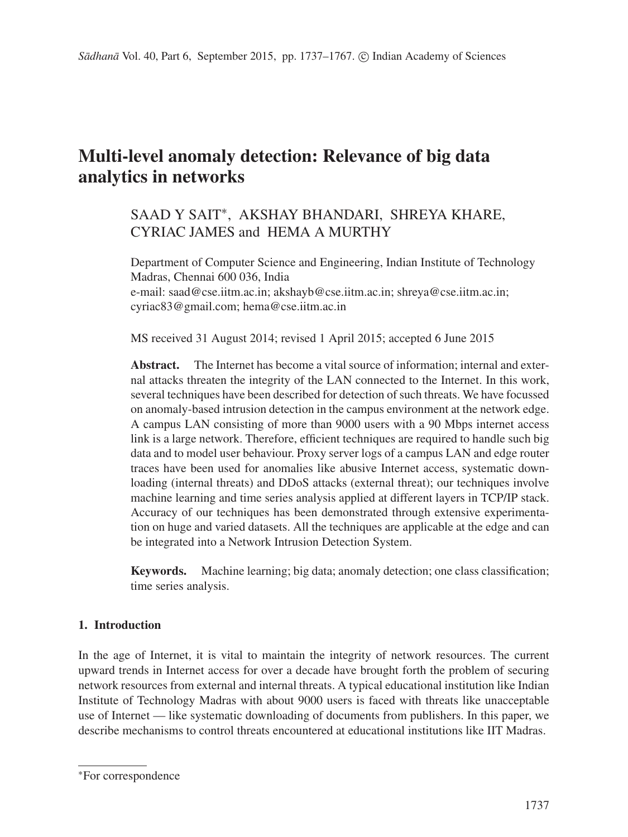# **Multi-level anomaly detection: Relevance of big data analytics in networks**

## SAAD Y SAIT∗, AKSHAY BHANDARI, SHREYA KHARE, CYRIAC JAMES and HEMA A MURTHY

Department of Computer Science and Engineering, Indian Institute of Technology Madras, Chennai 600 036, India e-mail: saad@cse.iitm.ac.in; akshayb@cse.iitm.ac.in; shreya@cse.iitm.ac.in; cyriac83@gmail.com; hema@cse.iitm.ac.in

MS received 31 August 2014; revised 1 April 2015; accepted 6 June 2015

**Abstract.** The Internet has become a vital source of information; internal and external attacks threaten the integrity of the LAN connected to the Internet. In this work, several techniques have been described for detection of such threats. We have focussed on anomaly-based intrusion detection in the campus environment at the network edge. A campus LAN consisting of more than 9000 users with a 90 Mbps internet access link is a large network. Therefore, efficient techniques are required to handle such big data and to model user behaviour. Proxy server logs of a campus LAN and edge router traces have been used for anomalies like abusive Internet access, systematic downloading (internal threats) and DDoS attacks (external threat); our techniques involve machine learning and time series analysis applied at different layers in TCP/IP stack. Accuracy of our techniques has been demonstrated through extensive experimentation on huge and varied datasets. All the techniques are applicable at the edge and can be integrated into a Network Intrusion Detection System.

**Keywords.** Machine learning; big data; anomaly detection; one class classification; time series analysis.

## **1. Introduction**

In the age of Internet, it is vital to maintain the integrity of network resources. The current upward trends in Internet access for over a decade have brought forth the problem of securing network resources from external and internal threats. A typical educational institution like Indian Institute of Technology Madras with about 9000 users is faced with threats like unacceptable use of Internet — like systematic downloading of documents from publishers. In this paper, we describe mechanisms to control threats encountered at educational institutions like IIT Madras.

<sup>∗</sup>For correspondence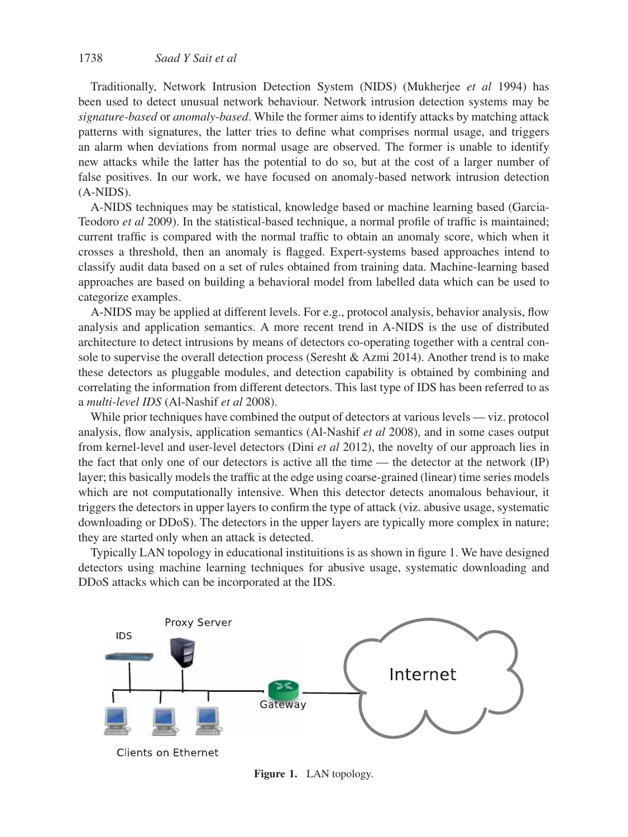Traditionally, Network Intrusion Detection System (NIDS) (Mukherjee *et al* 1994) has been used to detect unusual network behaviour. Network intrusion detection systems may be *signature-based* or *anomaly-based*. While the former aims to identify attacks by matching attack patterns with signatures, the latter tries to define what comprises normal usage, and triggers an alarm when deviations from normal usage are observed. The former is unable to identify new attacks while the latter has the potential to do so, but at the cost of a larger number of false positives. In our work, we have focused on anomaly-based network intrusion detection (A-NIDS).

A-NIDS techniques may be statistical, knowledge based or machine learning based (Garcia-Teodoro *et al* 2009). In the statistical-based technique, a normal profile of traffic is maintained; current traffic is compared with the normal traffic to obtain an anomaly score, which when it crosses a threshold, then an anomaly is flagged. Expert-systems based approaches intend to classify audit data based on a set of rules obtained from training data. Machine-learning based approaches are based on building a behavioral model from labelled data which can be used to categorize examples.

A-NIDS may be applied at different levels. For e.g., protocol analysis, behavior analysis, flow analysis and application semantics. A more recent trend in A-NIDS is the use of distributed architecture to detect intrusions by means of detectors co-operating together with a central console to supervise the overall detection process (Seresht & Azmi 2014). Another trend is to make these detectors as pluggable modules, and detection capability is obtained by combining and correlating the information from different detectors. This last type of IDS has been referred to as a *multi-level IDS* (Al-Nashif *et al* 2008).

While prior techniques have combined the output of detectors at various levels — viz. protocol analysis, flow analysis, application semantics (Al-Nashif *et al* 2008), and in some cases output from kernel-level and user-level detectors (Dini *et al* 2012), the novelty of our approach lies in the fact that only one of our detectors is active all the time — the detector at the network (IP) layer; this basically models the traffic at the edge using coarse-grained (linear) time series models which are not computationally intensive. When this detector detects anomalous behaviour, it triggers the detectors in upper layers to confirm the type of attack (viz. abusive usage, systematic downloading or DDoS). The detectors in the upper layers are typically more complex in nature; they are started only when an attack is detected.

Typically LAN topology in educational instituitions is as shown in figure 1. We have designed detectors using machine learning techniques for abusive usage, systematic downloading and DDoS attacks which can be incorporated at the IDS.



**Figure 1.** LAN topology.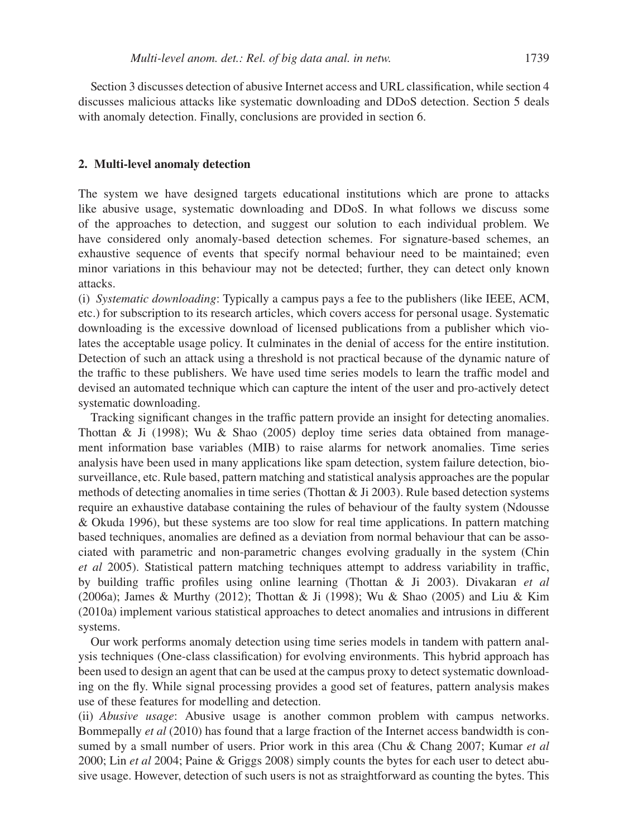Section 3 discusses detection of abusive Internet access and URL classification, while section 4 discusses malicious attacks like systematic downloading and DDoS detection. Section 5 deals with anomaly detection. Finally, conclusions are provided in section 6.

#### **2. Multi-level anomaly detection**

The system we have designed targets educational institutions which are prone to attacks like abusive usage, systematic downloading and DDoS. In what follows we discuss some of the approaches to detection, and suggest our solution to each individual problem. We have considered only anomaly-based detection schemes. For signature-based schemes, an exhaustive sequence of events that specify normal behaviour need to be maintained; even minor variations in this behaviour may not be detected; further, they can detect only known attacks.

(i) *Systematic downloading*: Typically a campus pays a fee to the publishers (like IEEE, ACM, etc.) for subscription to its research articles, which covers access for personal usage. Systematic downloading is the excessive download of licensed publications from a publisher which violates the acceptable usage policy. It culminates in the denial of access for the entire institution. Detection of such an attack using a threshold is not practical because of the dynamic nature of the traffic to these publishers. We have used time series models to learn the traffic model and devised an automated technique which can capture the intent of the user and pro-actively detect systematic downloading.

Tracking significant changes in the traffic pattern provide an insight for detecting anomalies. Thottan & Ji (1998); Wu & Shao (2005) deploy time series data obtained from management information base variables (MIB) to raise alarms for network anomalies. Time series analysis have been used in many applications like spam detection, system failure detection, biosurveillance, etc. Rule based, pattern matching and statistical analysis approaches are the popular methods of detecting anomalies in time series (Thottan & Ji 2003). Rule based detection systems require an exhaustive database containing the rules of behaviour of the faulty system (Ndousse & Okuda 1996), but these systems are too slow for real time applications. In pattern matching based techniques, anomalies are defined as a deviation from normal behaviour that can be associated with parametric and non-parametric changes evolving gradually in the system (Chin *et al* 2005). Statistical pattern matching techniques attempt to address variability in traffic, by building traffic profiles using online learning (Thottan & Ji 2003). Divakaran *et al* (2006a); James & Murthy (2012); Thottan & Ji (1998); Wu & Shao (2005) and Liu & Kim (2010a) implement various statistical approaches to detect anomalies and intrusions in different systems.

Our work performs anomaly detection using time series models in tandem with pattern analysis techniques (One-class classification) for evolving environments. This hybrid approach has been used to design an agent that can be used at the campus proxy to detect systematic downloading on the fly. While signal processing provides a good set of features, pattern analysis makes use of these features for modelling and detection.

(ii) *Abusive usage*: Abusive usage is another common problem with campus networks. Bommepally *et al* (2010) has found that a large fraction of the Internet access bandwidth is consumed by a small number of users. Prior work in this area (Chu & Chang 2007; Kumar *et al* 2000; Lin *et al* 2004; Paine & Griggs 2008) simply counts the bytes for each user to detect abusive usage. However, detection of such users is not as straightforward as counting the bytes. This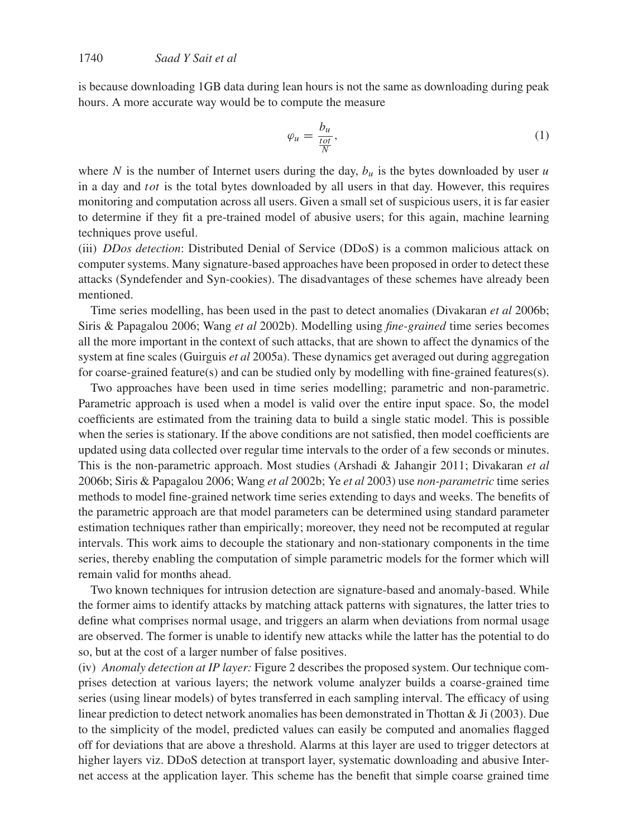is because downloading 1GB data during lean hours is not the same as downloading during peak hours. A more accurate way would be to compute the measure

$$
\varphi_u = \frac{b_u}{\frac{tot}{N}},\tag{1}
$$

where N is the number of Internet users during the day,  $b<sub>u</sub>$  is the bytes downloaded by user u in a day and tot is the total bytes downloaded by all users in that day. However, this requires monitoring and computation across all users. Given a small set of suspicious users, it is far easier to determine if they fit a pre-trained model of abusive users; for this again, machine learning techniques prove useful.

(iii) *DDos detection*: Distributed Denial of Service (DDoS) is a common malicious attack on computer systems. Many signature-based approaches have been proposed in order to detect these attacks (Syndefender and Syn-cookies). The disadvantages of these schemes have already been mentioned.

Time series modelling, has been used in the past to detect anomalies (Divakaran *et al* 2006b; Siris & Papagalou 2006; Wang *et al* 2002b). Modelling using *fine-grained* time series becomes all the more important in the context of such attacks, that are shown to affect the dynamics of the system at fine scales (Guirguis *et al* 2005a). These dynamics get averaged out during aggregation for coarse-grained feature(s) and can be studied only by modelling with fine-grained features(s).

Two approaches have been used in time series modelling; parametric and non-parametric. Parametric approach is used when a model is valid over the entire input space. So, the model coefficients are estimated from the training data to build a single static model. This is possible when the series is stationary. If the above conditions are not satisfied, then model coefficients are updated using data collected over regular time intervals to the order of a few seconds or minutes. This is the non-parametric approach. Most studies (Arshadi & Jahangir 2011; Divakaran *et al* 2006b; Siris & Papagalou 2006; Wang *et al* 2002b; Ye *et al* 2003) use *non-parametric* time series methods to model fine-grained network time series extending to days and weeks. The benefits of the parametric approach are that model parameters can be determined using standard parameter estimation techniques rather than empirically; moreover, they need not be recomputed at regular intervals. This work aims to decouple the stationary and non-stationary components in the time series, thereby enabling the computation of simple parametric models for the former which will remain valid for months ahead.

Two known techniques for intrusion detection are signature-based and anomaly-based. While the former aims to identify attacks by matching attack patterns with signatures, the latter tries to define what comprises normal usage, and triggers an alarm when deviations from normal usage are observed. The former is unable to identify new attacks while the latter has the potential to do so, but at the cost of a larger number of false positives.

(iv) *Anomaly detection at IP layer:* Figure 2 describes the proposed system. Our technique comprises detection at various layers; the network volume analyzer builds a coarse-grained time series (using linear models) of bytes transferred in each sampling interval. The efficacy of using linear prediction to detect network anomalies has been demonstrated in Thottan & Ji (2003). Due to the simplicity of the model, predicted values can easily be computed and anomalies flagged off for deviations that are above a threshold. Alarms at this layer are used to trigger detectors at higher layers viz. DDoS detection at transport layer, systematic downloading and abusive Internet access at the application layer. This scheme has the benefit that simple coarse grained time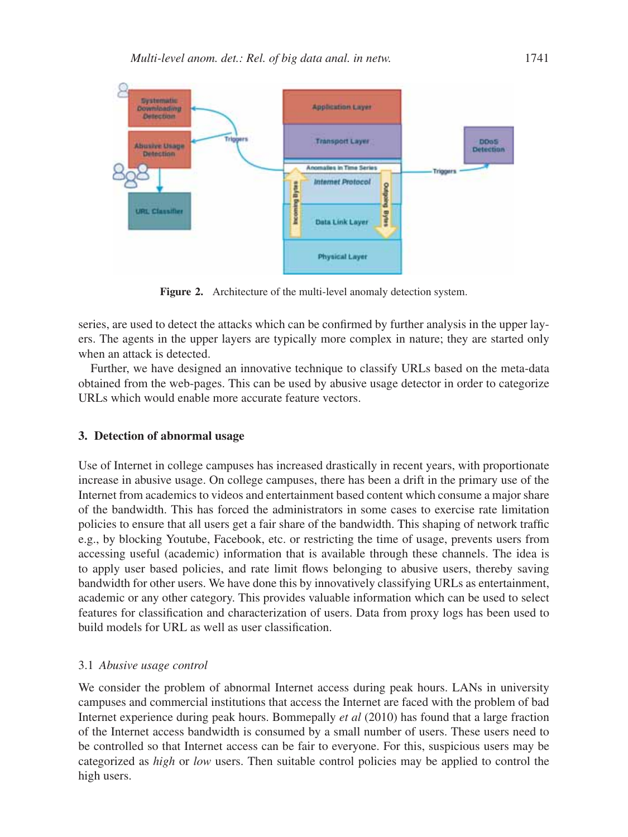

**Figure 2.** Architecture of the multi-level anomaly detection system.

series, are used to detect the attacks which can be confirmed by further analysis in the upper layers. The agents in the upper layers are typically more complex in nature; they are started only when an attack is detected.

Further, we have designed an innovative technique to classify URLs based on the meta-data obtained from the web-pages. This can be used by abusive usage detector in order to categorize URLs which would enable more accurate feature vectors.

#### **3. Detection of abnormal usage**

Use of Internet in college campuses has increased drastically in recent years, with proportionate increase in abusive usage. On college campuses, there has been a drift in the primary use of the Internet from academics to videos and entertainment based content which consume a major share of the bandwidth. This has forced the administrators in some cases to exercise rate limitation policies to ensure that all users get a fair share of the bandwidth. This shaping of network traffic e.g., by blocking Youtube, Facebook, etc. or restricting the time of usage, prevents users from accessing useful (academic) information that is available through these channels. The idea is to apply user based policies, and rate limit flows belonging to abusive users, thereby saving bandwidth for other users. We have done this by innovatively classifying URLs as entertainment, academic or any other category. This provides valuable information which can be used to select features for classification and characterization of users. Data from proxy logs has been used to build models for URL as well as user classification.

#### 3.1 *Abusive usage control*

We consider the problem of abnormal Internet access during peak hours. LANs in university campuses and commercial institutions that access the Internet are faced with the problem of bad Internet experience during peak hours. Bommepally *et al* (2010) has found that a large fraction of the Internet access bandwidth is consumed by a small number of users. These users need to be controlled so that Internet access can be fair to everyone. For this, suspicious users may be categorized as *high* or *low* users. Then suitable control policies may be applied to control the high users.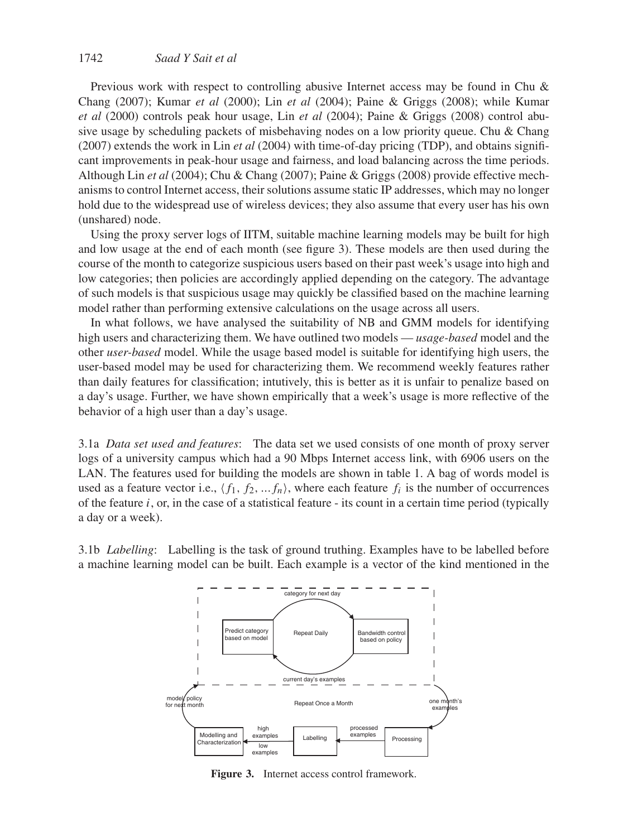Previous work with respect to controlling abusive Internet access may be found in Chu & Chang (2007); Kumar *et al* (2000); Lin *et al* (2004); Paine & Griggs (2008); while Kumar *et al* (2000) controls peak hour usage, Lin *et al* (2004); Paine & Griggs (2008) control abusive usage by scheduling packets of misbehaving nodes on a low priority queue. Chu & Chang (2007) extends the work in Lin *et al* (2004) with time-of-day pricing (TDP), and obtains significant improvements in peak-hour usage and fairness, and load balancing across the time periods. Although Lin *et al* (2004); Chu & Chang (2007); Paine & Griggs (2008) provide effective mechanisms to control Internet access, their solutions assume static IP addresses, which may no longer hold due to the widespread use of wireless devices; they also assume that every user has his own (unshared) node.

Using the proxy server logs of IITM, suitable machine learning models may be built for high and low usage at the end of each month (see figure 3). These models are then used during the course of the month to categorize suspicious users based on their past week's usage into high and low categories; then policies are accordingly applied depending on the category. The advantage of such models is that suspicious usage may quickly be classified based on the machine learning model rather than performing extensive calculations on the usage across all users.

In what follows, we have analysed the suitability of NB and GMM models for identifying high users and characterizing them. We have outlined two models — *usage-based* model and the other *user-based* model. While the usage based model is suitable for identifying high users, the user-based model may be used for characterizing them. We recommend weekly features rather than daily features for classification; intutively, this is better as it is unfair to penalize based on a day's usage. Further, we have shown empirically that a week's usage is more reflective of the behavior of a high user than a day's usage.

3.1a *Data set used and features*: The data set we used consists of one month of proxy server logs of a university campus which had a 90 Mbps Internet access link, with 6906 users on the LAN. The features used for building the models are shown in table 1. A bag of words model is used as a feature vector i.e.,  $\langle f_1, f_2, \ldots, f_n \rangle$ , where each feature  $f_i$  is the number of occurrences of the feature  $i$ , or, in the case of a statistical feature - its count in a certain time period (typically a day or a week).

3.1b *Labelling*: Labelling is the task of ground truthing. Examples have to be labelled before a machine learning model can be built. Each example is a vector of the kind mentioned in the



**Figure 3.** Internet access control framework.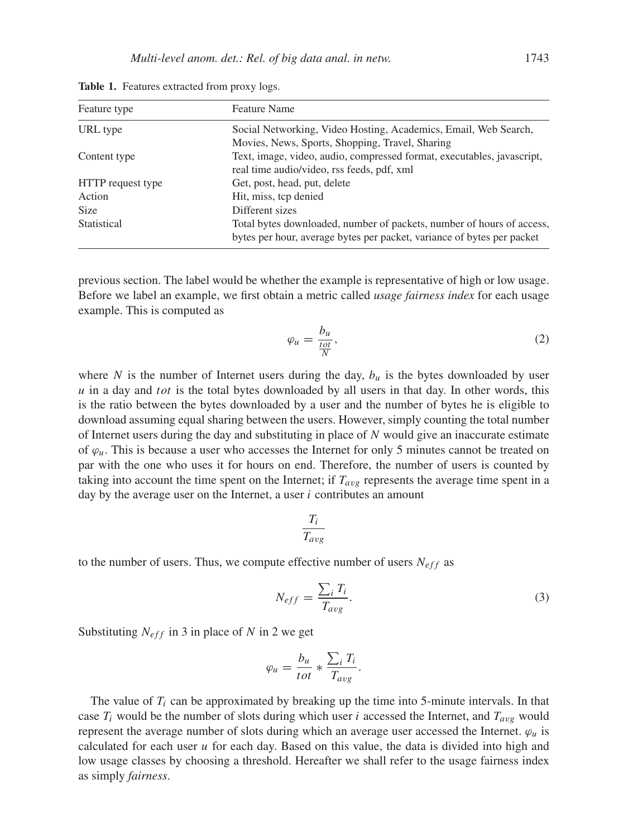| Feature type      | <b>Feature Name</b>                                                                                                                             |  |
|-------------------|-------------------------------------------------------------------------------------------------------------------------------------------------|--|
| URL type          | Social Networking, Video Hosting, Academics, Email, Web Search,<br>Movies, News, Sports, Shopping, Travel, Sharing                              |  |
| Content type      | Text, image, video, audio, compressed format, executables, javascript,<br>real time audio/video, rss feeds, pdf, xml                            |  |
| HTTP request type | Get, post, head, put, delete                                                                                                                    |  |
| Action            | Hit, miss, tcp denied                                                                                                                           |  |
| <b>Size</b>       | Different sizes                                                                                                                                 |  |
| Statistical       | Total bytes downloaded, number of packets, number of hours of access,<br>bytes per hour, average bytes per packet, variance of bytes per packet |  |

**Table 1.** Features extracted from proxy logs.

previous section. The label would be whether the example is representative of high or low usage. Before we label an example, we first obtain a metric called *usage fairness index* for each usage example. This is computed as

$$
\varphi_u = \frac{b_u}{\frac{tot}{N}},\tag{2}
$$

where N is the number of Internet users during the day,  $b<sub>u</sub>$  is the bytes downloaded by user  $u$  in a day and tot is the total bytes downloaded by all users in that day. In other words, this is the ratio between the bytes downloaded by a user and the number of bytes he is eligible to download assuming equal sharing between the users. However, simply counting the total number of Internet users during the day and substituting in place of N would give an inaccurate estimate of  $\varphi_u$ . This is because a user who accesses the Internet for only 5 minutes cannot be treated on par with the one who uses it for hours on end. Therefore, the number of users is counted by taking into account the time spent on the Internet; if  $T_{avg}$  represents the average time spent in a day by the average user on the Internet, a user  $i$  contributes an amount

$$
\frac{T_i}{T_{avg}}
$$

to the number of users. Thus, we compute effective number of users  $N_{eff}$  as

$$
N_{eff} = \frac{\sum_{i} T_{i}}{T_{avg}}.
$$
\n(3)

Substituting  $N_{eff}$  in 3 in place of N in 2 we get

$$
\varphi_u = \frac{b_u}{tot} * \frac{\sum_i T_i}{T_{avg}}.
$$

The value of  $T_i$  can be approximated by breaking up the time into 5-minute intervals. In that case  $T_i$  would be the number of slots during which user i accessed the Internet, and  $T_{avg}$  would represent the average number of slots during which an average user accessed the Internet.  $\varphi_u$  is calculated for each user  $u$  for each day. Based on this value, the data is divided into high and low usage classes by choosing a threshold. Hereafter we shall refer to the usage fairness index as simply *fairness*.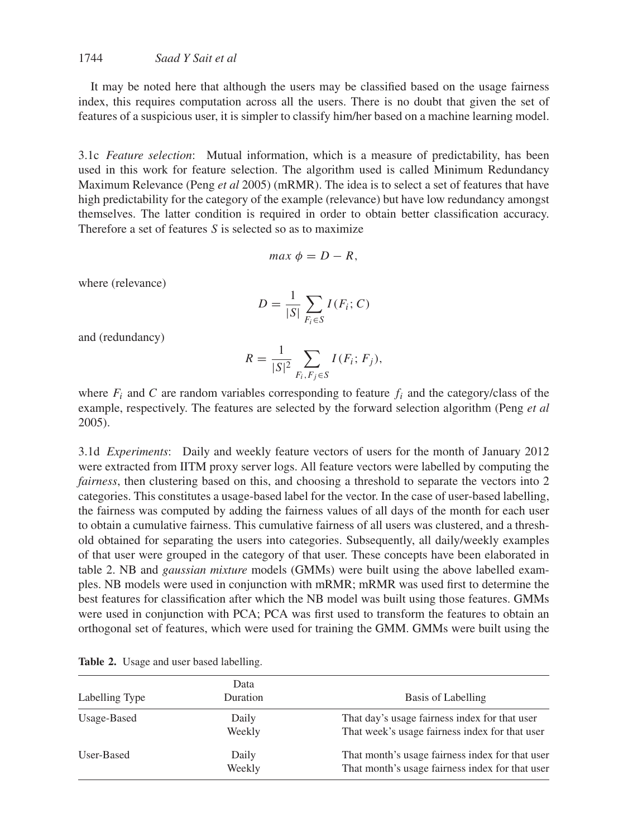## 1744 *Saad Y Sait et al*

It may be noted here that although the users may be classified based on the usage fairness index, this requires computation across all the users. There is no doubt that given the set of features of a suspicious user, it is simpler to classify him/her based on a machine learning model.

3.1c *Feature selection*: Mutual information, which is a measure of predictability, has been used in this work for feature selection. The algorithm used is called Minimum Redundancy Maximum Relevance (Peng *et al* 2005) (mRMR). The idea is to select a set of features that have high predictability for the category of the example (relevance) but have low redundancy amongst themselves. The latter condition is required in order to obtain better classification accuracy. Therefore a set of features  $S$  is selected so as to maximize

$$
max \phi = D - R,
$$

where (relevance)

$$
D = \frac{1}{|S|} \sum_{F_i \in S} I(F_i; C)
$$

and (redundancy)

$$
R = \frac{1}{|S|^2} \sum_{F_i, F_j \in S} I(F_i; F_j),
$$

where  $F_i$  and C are random variables corresponding to feature  $f_i$  and the category/class of the example, respectively. The features are selected by the forward selection algorithm (Peng *et al* 2005).

3.1d *Experiments*: Daily and weekly feature vectors of users for the month of January 2012 were extracted from IITM proxy server logs. All feature vectors were labelled by computing the *fairness*, then clustering based on this, and choosing a threshold to separate the vectors into 2 categories. This constitutes a usage-based label for the vector. In the case of user-based labelling, the fairness was computed by adding the fairness values of all days of the month for each user to obtain a cumulative fairness. This cumulative fairness of all users was clustered, and a threshold obtained for separating the users into categories. Subsequently, all daily/weekly examples of that user were grouped in the category of that user. These concepts have been elaborated in table 2. NB and *gaussian mixture* models (GMMs) were built using the above labelled examples. NB models were used in conjunction with mRMR; mRMR was used first to determine the best features for classification after which the NB model was built using those features. GMMs were used in conjunction with PCA; PCA was first used to transform the features to obtain an orthogonal set of features, which were used for training the GMM. GMMs were built using the

| Data<br>Duration<br>Labelling Type |                 | Basis of Labelling                                                                                 |  |  |
|------------------------------------|-----------------|----------------------------------------------------------------------------------------------------|--|--|
| Usage-Based                        | Daily<br>Weekly | That day's usage fairness index for that user<br>That week's usage fairness index for that user    |  |  |
| User-Based                         | Daily<br>Weekly | That month's usage fairness index for that user<br>That month's usage fairness index for that user |  |  |

**Table 2.** Usage and user based labelling.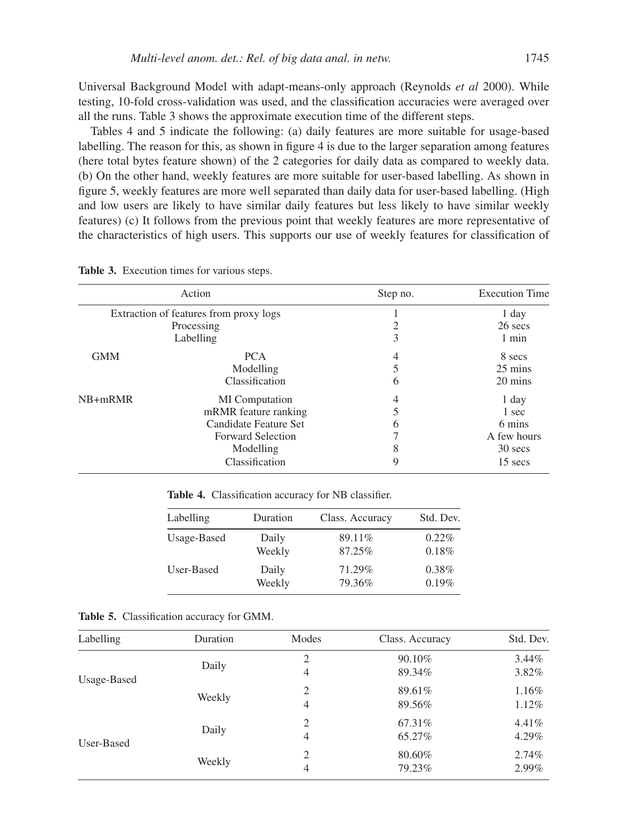Universal Background Model with adapt-means-only approach (Reynolds *et al* 2000). While testing, 10-fold cross-validation was used, and the classification accuracies were averaged over all the runs. Table 3 shows the approximate execution time of the different steps.

Tables 4 and 5 indicate the following: (a) daily features are more suitable for usage-based labelling. The reason for this, as shown in figure 4 is due to the larger separation among features (here total bytes feature shown) of the 2 categories for daily data as compared to weekly data. (b) On the other hand, weekly features are more suitable for user-based labelling. As shown in figure 5, weekly features are more well separated than daily data for user-based labelling. (High and low users are likely to have similar daily features but less likely to have similar weekly features) (c) It follows from the previous point that weekly features are more representative of the characteristics of high users. This supports our use of weekly features for classification of

|            | Action<br>Step no.                     |                | <b>Execution Time</b> |
|------------|----------------------------------------|----------------|-----------------------|
|            | Extraction of features from proxy logs |                | 1 day                 |
|            | Processing                             | 2              | 26 secs               |
|            | Labelling                              | 3              | $1$ min               |
| <b>GMM</b> | <b>PCA</b>                             | 4              | 8 secs                |
|            | Modelling                              | 5              | 25 mins               |
|            | Classification                         | 6              | 20 mins               |
| $NB+mRMR$  | MI Computation                         | $\overline{4}$ | 1 day                 |
|            | mRMR feature ranking                   | 5              | 1 sec                 |
|            | Candidate Feature Set                  | 6              | 6 mins                |
|            | <b>Forward Selection</b>               | 7              | A few hours           |
|            | Modelling                              | 8              | 30 secs               |
|            | Classification                         | 9              | 15 secs               |

**Table 3.** Execution times for various steps.

**Table 4.** Classification accuracy for NB classifier.

| Labelling   | Duration | Class. Accuracy | Std. Dev. |
|-------------|----------|-----------------|-----------|
| Usage-Based | Daily    | 89.11%          | $0.22\%$  |
|             | Weekly   | 87.25%          | 0.18%     |
| User-Based  | Daily    | 71.29%          | $0.38\%$  |
|             | Weekly   | 79.36%          | 0.19%     |

**Table 5.** Classification accuracy for GMM.

| Labelling   | Duration | Modes                                                                                              | Class. Accuracy | Std. Dev. |
|-------------|----------|----------------------------------------------------------------------------------------------------|-----------------|-----------|
|             |          | $\overline{c}$                                                                                     | 90.10%          | $3.44\%$  |
| Usage-Based | Daily    | 4                                                                                                  | 89.34%          | 3.82%     |
|             |          | $\overline{c}$                                                                                     | 89.61%          | 1.16%     |
|             | Weekly   | 4<br>89.56%<br>$\overline{2}$<br>67.31\%<br>4<br>65.27%<br>$\overline{2}$<br>80.60%<br>79.23%<br>4 | 1.12%           |           |
|             |          |                                                                                                    |                 | 4.41%     |
| User-Based  | Daily    |                                                                                                    |                 | 4.29%     |
|             |          |                                                                                                    |                 | 2.74%     |
|             | Weekly   |                                                                                                    |                 | 2.99%     |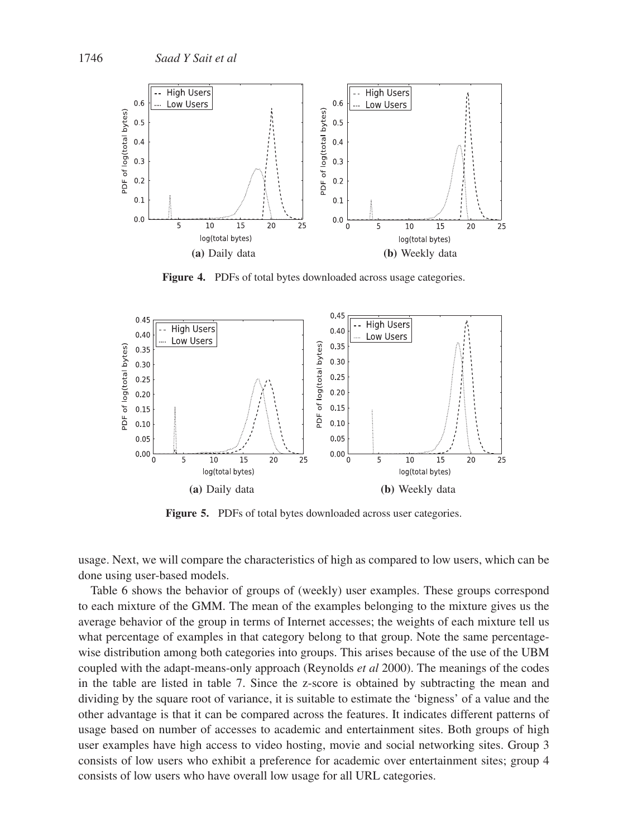

**Figure 4.** PDFs of total bytes downloaded across usage categories.



**Figure 5.** PDFs of total bytes downloaded across user categories.

usage. Next, we will compare the characteristics of high as compared to low users, which can be done using user-based models.

Table 6 shows the behavior of groups of (weekly) user examples. These groups correspond to each mixture of the GMM. The mean of the examples belonging to the mixture gives us the average behavior of the group in terms of Internet accesses; the weights of each mixture tell us what percentage of examples in that category belong to that group. Note the same percentagewise distribution among both categories into groups. This arises because of the use of the UBM coupled with the adapt-means-only approach (Reynolds *et al* 2000). The meanings of the codes in the table are listed in table 7. Since the z-score is obtained by subtracting the mean and dividing by the square root of variance, it is suitable to estimate the 'bigness' of a value and the other advantage is that it can be compared across the features. It indicates different patterns of usage based on number of accesses to academic and entertainment sites. Both groups of high user examples have high access to video hosting, movie and social networking sites. Group 3 consists of low users who exhibit a preference for academic over entertainment sites; group 4 consists of low users who have overall low usage for all URL categories.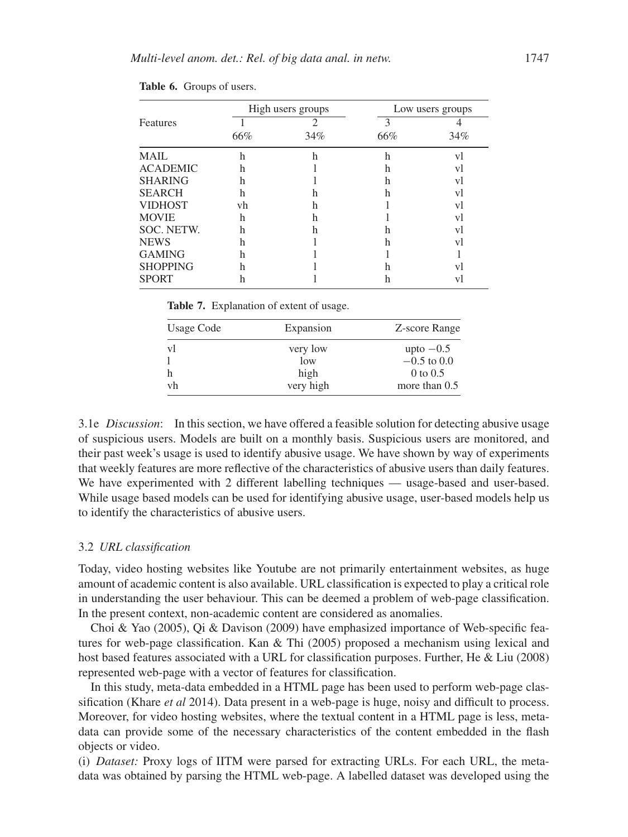|                 |     | High users groups |     | Low users groups |
|-----------------|-----|-------------------|-----|------------------|
| Features        |     | າ                 | 3   |                  |
|                 | 66% | 34%               | 66% | 34%              |
| MAIL            | h   | h                 | h   | V                |
| <b>ACADEMIC</b> | h   |                   | h   | V                |
| <b>SHARING</b>  | h   |                   | h   | vl               |
| <b>SEARCH</b>   | h   | n                 | h   | V                |
| <b>VIDHOST</b>  | vh  | h                 |     | vl               |
| <b>MOVIE</b>    | h   | h                 |     | vl               |
| SOC. NETW.      | h   | h                 | h   | vl               |
| <b>NEWS</b>     | h   |                   | h   | V                |
| <b>GAMING</b>   | h   |                   |     |                  |
| <b>SHOPPING</b> | h   |                   | h   | V                |
| <b>SPORT</b>    | h   |                   |     | VJ               |

| Table 6. Groups of users. |  |  |
|---------------------------|--|--|
|---------------------------|--|--|

**Table 7.** Explanation of extent of usage.

| Usage Code | Expansion | Z-score Range |
|------------|-----------|---------------|
| vl         | very low  | upto $-0.5$   |
|            | low       | $-0.5$ to 0.0 |
| h          | high      | $0$ to $0.5$  |
| vh         | very high | more than 0.5 |

3.1e *Discussion*: In this section, we have offered a feasible solution for detecting abusive usage of suspicious users. Models are built on a monthly basis. Suspicious users are monitored, and their past week's usage is used to identify abusive usage. We have shown by way of experiments that weekly features are more reflective of the characteristics of abusive users than daily features. We have experimented with 2 different labelling techniques — usage-based and user-based. While usage based models can be used for identifying abusive usage, user-based models help us to identify the characteristics of abusive users.

#### 3.2 *URL classification*

Today, video hosting websites like Youtube are not primarily entertainment websites, as huge amount of academic content is also available. URL classification is expected to play a critical role in understanding the user behaviour. This can be deemed a problem of web-page classification. In the present context, non-academic content are considered as anomalies.

Choi & Yao (2005), Qi & Davison (2009) have emphasized importance of Web-specific features for web-page classification. Kan & Thi (2005) proposed a mechanism using lexical and host based features associated with a URL for classification purposes. Further, He & Liu (2008) represented web-page with a vector of features for classification.

In this study, meta-data embedded in a HTML page has been used to perform web-page classification (Khare *et al* 2014). Data present in a web-page is huge, noisy and difficult to process. Moreover, for video hosting websites, where the textual content in a HTML page is less, metadata can provide some of the necessary characteristics of the content embedded in the flash objects or video.

(i) *Dataset:* Proxy logs of IITM were parsed for extracting URLs. For each URL, the metadata was obtained by parsing the HTML web-page. A labelled dataset was developed using the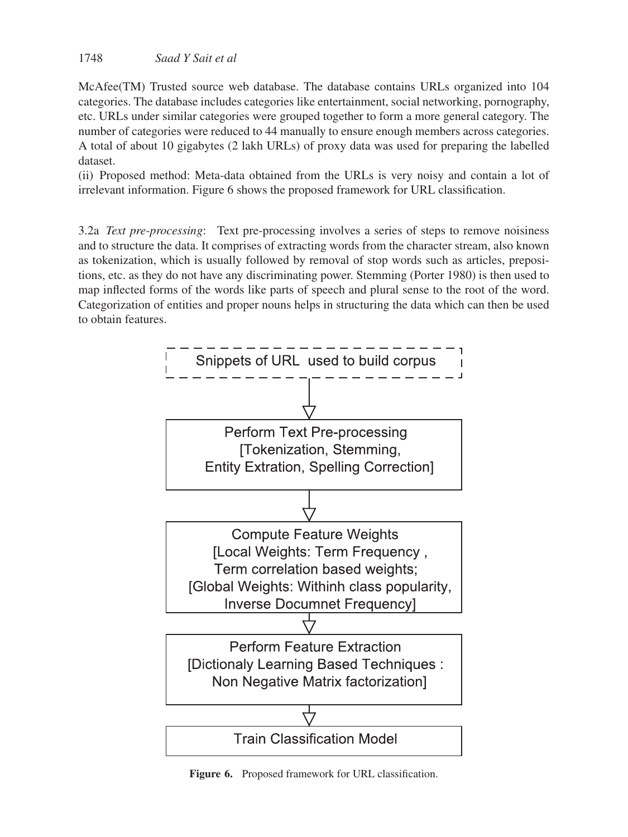McAfee(TM) Trusted source web database. The database contains URLs organized into 104 categories. The database includes categories like entertainment, social networking, pornography, etc. URLs under similar categories were grouped together to form a more general category. The number of categories were reduced to 44 manually to ensure enough members across categories. A total of about 10 gigabytes (2 lakh URLs) of proxy data was used for preparing the labelled dataset.

(ii) Proposed method: Meta-data obtained from the URLs is very noisy and contain a lot of irrelevant information. Figure 6 shows the proposed framework for URL classification.

3.2a *Text pre-processing*: Text pre-processing involves a series of steps to remove noisiness and to structure the data. It comprises of extracting words from the character stream, also known as tokenization, which is usually followed by removal of stop words such as articles, prepositions, etc. as they do not have any discriminating power. Stemming (Porter 1980) is then used to map inflected forms of the words like parts of speech and plural sense to the root of the word. Categorization of entities and proper nouns helps in structuring the data which can then be used to obtain features.



**Figure 6.** Proposed framework for URL classification.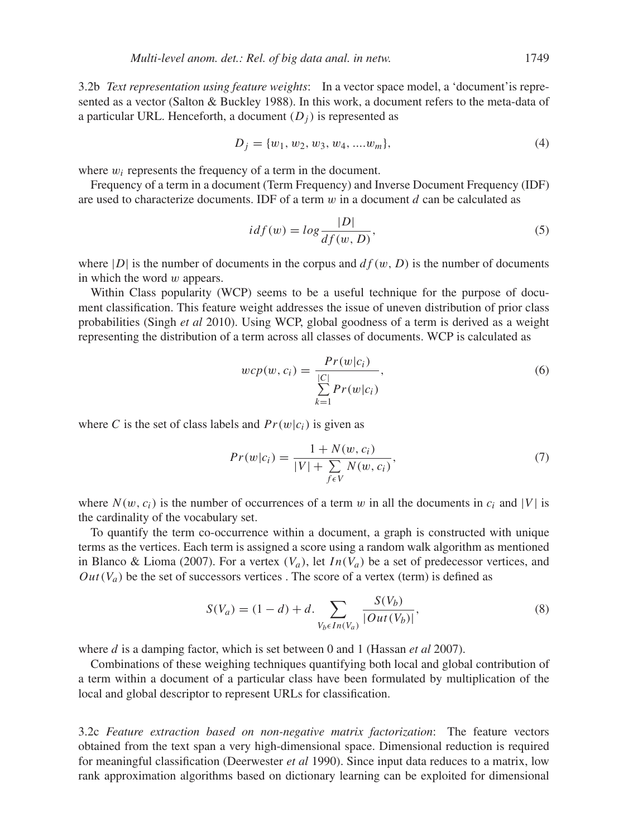3.2b *Text representation using feature weights*: In a vector space model, a 'document'is represented as a vector (Salton & Buckley 1988). In this work, a document refers to the meta-data of a particular URL. Henceforth, a document  $(D_i)$  is represented as

$$
D_j = \{w_1, w_2, w_3, w_4, \dots w_m\},\tag{4}
$$

where  $w_i$  represents the frequency of a term in the document.

Frequency of a term in a document (Term Frequency) and Inverse Document Frequency (IDF) are used to characterize documents. IDF of a term  $w$  in a document d can be calculated as

$$
i df(w) = log \frac{|D|}{df(w, D)},
$$
\n(5)

where |D| is the number of documents in the corpus and  $df(w, D)$  is the number of documents in which the word  $w$  appears.

Within Class popularity (WCP) seems to be a useful technique for the purpose of document classification. This feature weight addresses the issue of uneven distribution of prior class probabilities (Singh *et al* 2010). Using WCP, global goodness of a term is derived as a weight representing the distribution of a term across all classes of documents. WCP is calculated as

$$
wcp(w, c_i) = \frac{Pr(w|c_i)}{\sum_{k=1}^{|C|} Pr(w|c_i)},
$$
\n(6)

where C is the set of class labels and  $Pr(w|c_i)$  is given as

$$
Pr(w|c_i) = \frac{1 + N(w, c_i)}{|V| + \sum_{f \in V} N(w, c_i)},
$$
\n(7)

where  $N(w, c_i)$  is the number of occurrences of a term w in all the documents in  $c_i$  and  $|V|$  is the cardinality of the vocabulary set.

To quantify the term co-occurrence within a document, a graph is constructed with unique terms as the vertices. Each term is assigned a score using a random walk algorithm as mentioned in Blanco & Lioma (2007). For a vertex  $(V_a)$ , let  $In(V_a)$  be a set of predecessor vertices, and  $Out(V_a)$  be the set of successors vertices. The score of a vertex (term) is defined as

$$
S(V_a) = (1 - d) + d. \sum_{V_b \in In(V_a)} \frac{S(V_b)}{|Out(V_b)|},
$$
\n(8)

where *d* is a damping factor, which is set between 0 and 1 (Hassan *et al* 2007).

Combinations of these weighing techniques quantifying both local and global contribution of a term within a document of a particular class have been formulated by multiplication of the local and global descriptor to represent URLs for classification.

3.2c *Feature extraction based on non-negative matrix factorization*: The feature vectors obtained from the text span a very high-dimensional space. Dimensional reduction is required for meaningful classification (Deerwester *et al* 1990). Since input data reduces to a matrix, low rank approximation algorithms based on dictionary learning can be exploited for dimensional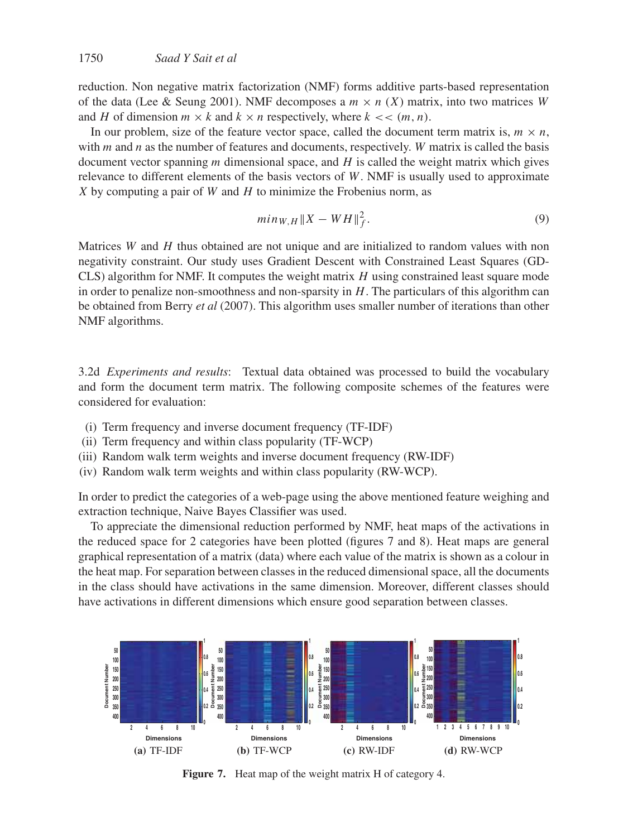reduction. Non negative matrix factorization (NMF) forms additive parts-based representation of the data (Lee & Seung 2001). NMF decomposes a  $m \times n$  (X) matrix, into two matrices W and H of dimension  $m \times k$  and  $k \times n$  respectively, where  $k \ll (m, n)$ .

In our problem, size of the feature vector space, called the document term matrix is,  $m \times n$ , with  $m$  and  $n$  as the number of features and documents, respectively. W matrix is called the basis document vector spanning  $m$  dimensional space, and  $H$  is called the weight matrix which gives relevance to different elements of the basis vectors of  $W$ . NMF is usually used to approximate  $X$  by computing a pair of  $W$  and  $H$  to minimize the Frobenius norm, as

$$
min_{W,H} \|X - WH\|_{f}^{2}.
$$
\n(9)

Matrices  $W$  and  $H$  thus obtained are not unique and are initialized to random values with non negativity constraint. Our study uses Gradient Descent with Constrained Least Squares (GD- $CLS$ ) algorithm for NMF. It computes the weight matrix  $H$  using constrained least square mode in order to penalize non-smoothness and non-sparsity in  $H$ . The particulars of this algorithm can be obtained from Berry *et al* (2007). This algorithm uses smaller number of iterations than other NMF algorithms.

3.2d *Experiments and results*: Textual data obtained was processed to build the vocabulary and form the document term matrix. The following composite schemes of the features were considered for evaluation:

- (i) Term frequency and inverse document frequency (TF-IDF)
- (ii) Term frequency and within class popularity (TF-WCP)
- (iii) Random walk term weights and inverse document frequency (RW-IDF)
- (iv) Random walk term weights and within class popularity (RW-WCP).

In order to predict the categories of a web-page using the above mentioned feature weighing and extraction technique, Naive Bayes Classifier was used.

To appreciate the dimensional reduction performed by NMF, heat maps of the activations in the reduced space for 2 categories have been plotted (figures 7 and 8). Heat maps are general graphical representation of a matrix (data) where each value of the matrix is shown as a colour in the heat map. For separation between classes in the reduced dimensional space, all the documents in the class should have activations in the same dimension. Moreover, different classes should have activations in different dimensions which ensure good separation between classes.



**Figure 7.** Heat map of the weight matrix H of category 4.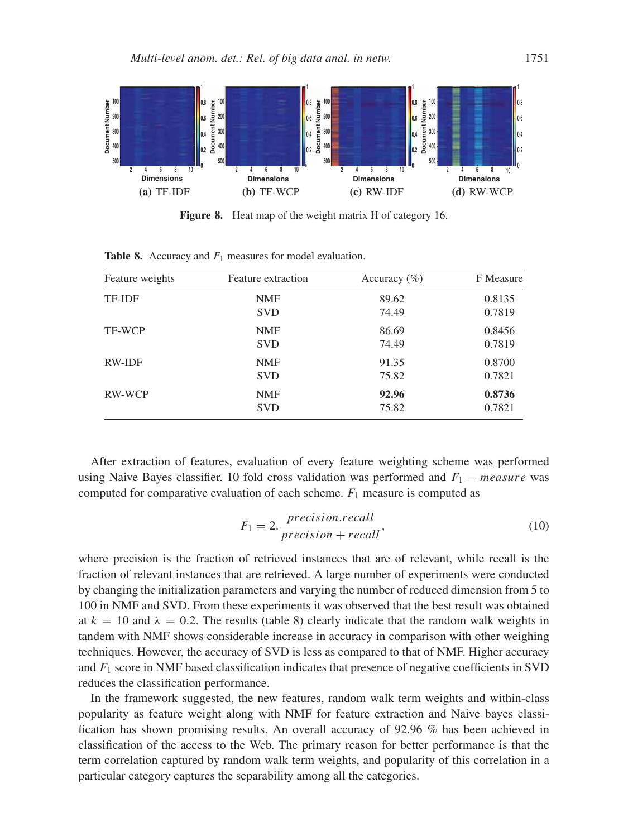

**Figure 8.** Heat map of the weight matrix H of category 16.

| Feature weights | Feature extraction | Accuracy $(\% )$ | F Measure |
|-----------------|--------------------|------------------|-----------|
| TF-IDF          | <b>NMF</b>         | 89.62            | 0.8135    |
|                 | <b>SVD</b>         | 74.49            | 0.7819    |
| TF-WCP          | <b>NMF</b>         | 86.69            | 0.8456    |
|                 | <b>SVD</b>         | 74.49            | 0.7819    |
| <b>RW-IDF</b>   | <b>NMF</b>         | 91.35            | 0.8700    |
|                 | <b>SVD</b>         | 75.82            | 0.7821    |
| RW-WCP          | <b>NMF</b>         | 92.96            | 0.8736    |
|                 | <b>SVD</b>         | 75.82            | 0.7821    |

**Table 8.** Accuracy and  $F_1$  measures for model evaluation.

After extraction of features, evaluation of every feature weighting scheme was performed using Naive Bayes classifier. 10 fold cross validation was performed and  $F_1$  – measure was computed for comparative evaluation of each scheme.  $F_1$  measure is computed as

$$
F_1 = 2. \frac{precision.read}{precision + recall},\tag{10}
$$

where precision is the fraction of retrieved instances that are of relevant, while recall is the fraction of relevant instances that are retrieved. A large number of experiments were conducted by changing the initialization parameters and varying the number of reduced dimension from 5 to 100 in NMF and SVD. From these experiments it was observed that the best result was obtained at  $k = 10$  and  $\lambda = 0.2$ . The results (table 8) clearly indicate that the random walk weights in tandem with NMF shows considerable increase in accuracy in comparison with other weighing techniques. However, the accuracy of SVD is less as compared to that of NMF. Higher accuracy and  $F_1$  score in NMF based classification indicates that presence of negative coefficients in SVD reduces the classification performance.

In the framework suggested, the new features, random walk term weights and within-class popularity as feature weight along with NMF for feature extraction and Naive bayes classification has shown promising results. An overall accuracy of 92.96 % has been achieved in classification of the access to the Web. The primary reason for better performance is that the term correlation captured by random walk term weights, and popularity of this correlation in a particular category captures the separability among all the categories.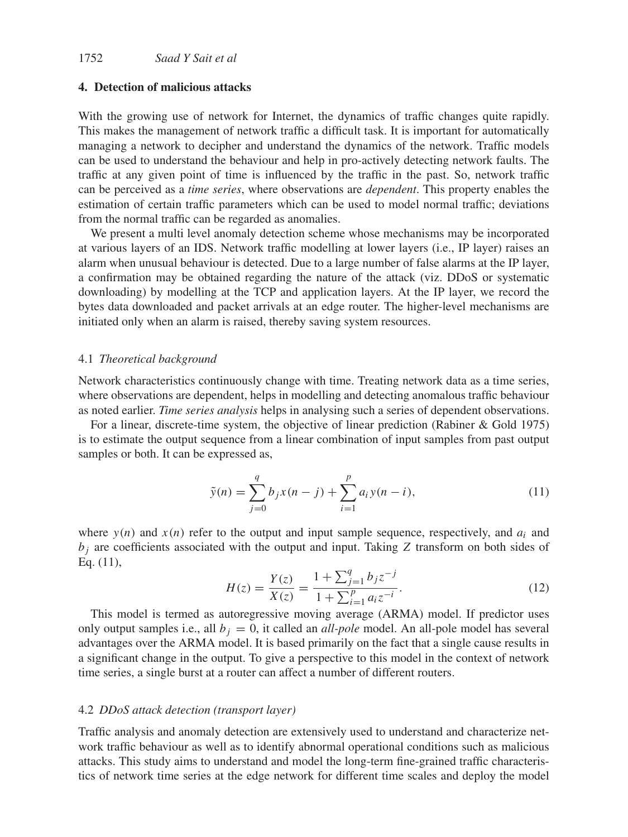## **4. Detection of malicious attacks**

With the growing use of network for Internet, the dynamics of traffic changes quite rapidly. This makes the management of network traffic a difficult task. It is important for automatically managing a network to decipher and understand the dynamics of the network. Traffic models can be used to understand the behaviour and help in pro-actively detecting network faults. The traffic at any given point of time is influenced by the traffic in the past. So, network traffic can be perceived as a *time series*, where observations are *dependent*. This property enables the estimation of certain traffic parameters which can be used to model normal traffic; deviations from the normal traffic can be regarded as anomalies.

We present a multi level anomaly detection scheme whose mechanisms may be incorporated at various layers of an IDS. Network traffic modelling at lower layers (i.e., IP layer) raises an alarm when unusual behaviour is detected. Due to a large number of false alarms at the IP layer, a confirmation may be obtained regarding the nature of the attack (viz. DDoS or systematic downloading) by modelling at the TCP and application layers. At the IP layer, we record the bytes data downloaded and packet arrivals at an edge router. The higher-level mechanisms are initiated only when an alarm is raised, thereby saving system resources.

#### 4.1 *Theoretical background*

Network characteristics continuously change with time. Treating network data as a time series, where observations are dependent, helps in modelling and detecting anomalous traffic behaviour as noted earlier. *Time series analysis* helps in analysing such a series of dependent observations.

For a linear, discrete-time system, the objective of linear prediction (Rabiner & Gold 1975) is to estimate the output sequence from a linear combination of input samples from past output samples or both. It can be expressed as,

$$
\tilde{y}(n) = \sum_{j=0}^{q} b_j x(n-j) + \sum_{i=1}^{p} a_i y(n-i),
$$
\n(11)

where  $y(n)$  and  $x(n)$  refer to the output and input sample sequence, respectively, and  $a_i$  and  $b_i$  are coefficients associated with the output and input. Taking Z transform on both sides of Eq. (11),

$$
H(z) = \frac{Y(z)}{X(z)} = \frac{1 + \sum_{j=1}^{q} b_j z^{-j}}{1 + \sum_{i=1}^{p} a_i z^{-i}}.
$$
\n(12)

This model is termed as autoregressive moving average (ARMA) model. If predictor uses only output samples i.e., all  $b_i = 0$ , it called an *all-pole* model. An all-pole model has several advantages over the ARMA model. It is based primarily on the fact that a single cause results in a significant change in the output. To give a perspective to this model in the context of network time series, a single burst at a router can affect a number of different routers.

#### 4.2 *DDoS attack detection (transport layer)*

Traffic analysis and anomaly detection are extensively used to understand and characterize network traffic behaviour as well as to identify abnormal operational conditions such as malicious attacks. This study aims to understand and model the long-term fine-grained traffic characteristics of network time series at the edge network for different time scales and deploy the model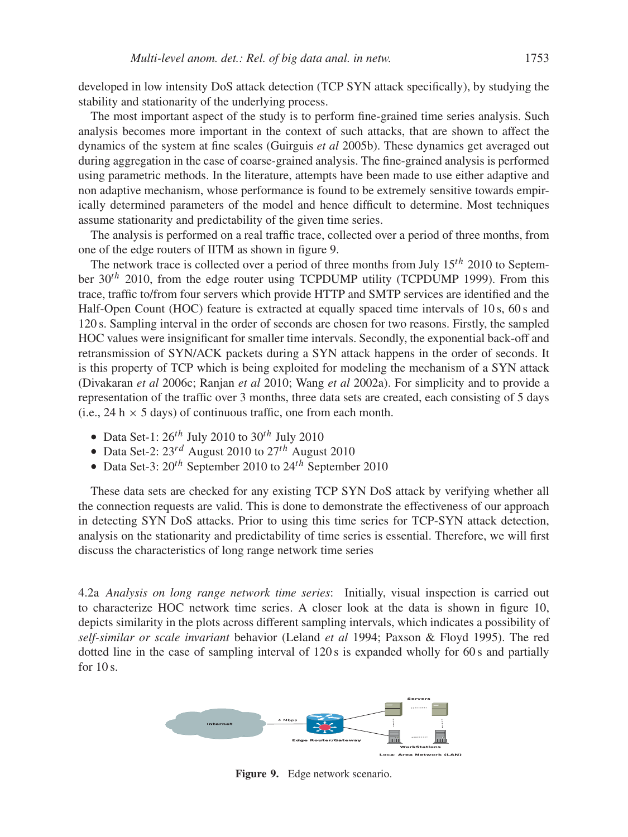developed in low intensity DoS attack detection (TCP SYN attack specifically), by studying the stability and stationarity of the underlying process.

The most important aspect of the study is to perform fine-grained time series analysis. Such analysis becomes more important in the context of such attacks, that are shown to affect the dynamics of the system at fine scales (Guirguis *et al* 2005b). These dynamics get averaged out during aggregation in the case of coarse-grained analysis. The fine-grained analysis is performed using parametric methods. In the literature, attempts have been made to use either adaptive and non adaptive mechanism, whose performance is found to be extremely sensitive towards empirically determined parameters of the model and hence difficult to determine. Most techniques assume stationarity and predictability of the given time series.

The analysis is performed on a real traffic trace, collected over a period of three months, from one of the edge routers of IITM as shown in figure 9.

The network trace is collected over a period of three months from July  $15^{th}$  2010 to September  $30<sup>th</sup>$  2010, from the edge router using TCPDUMP utility (TCPDUMP 1999). From this trace, traffic to/from four servers which provide HTTP and SMTP services are identified and the Half-Open Count (HOC) feature is extracted at equally spaced time intervals of 10 s, 60 s and 120 s. Sampling interval in the order of seconds are chosen for two reasons. Firstly, the sampled HOC values were insignificant for smaller time intervals. Secondly, the exponential back-off and retransmission of SYN/ACK packets during a SYN attack happens in the order of seconds. It is this property of TCP which is being exploited for modeling the mechanism of a SYN attack (Divakaran *et al* 2006c; Ranjan *et al* 2010; Wang *et al* 2002a). For simplicity and to provide a representation of the traffic over 3 months, three data sets are created, each consisting of 5 days (i.e., 24 h  $\times$  5 days) of continuous traffic, one from each month.

- Data Set-1:  $26^{th}$  July 2010 to  $30^{th}$  July 2010
- Data Set-2:  $23^{rd}$  August 2010 to  $27^{th}$  August 2010
- Data Set-3:  $20^{th}$  September 2010 to  $24^{th}$  September 2010

These data sets are checked for any existing TCP SYN DoS attack by verifying whether all the connection requests are valid. This is done to demonstrate the effectiveness of our approach in detecting SYN DoS attacks. Prior to using this time series for TCP-SYN attack detection, analysis on the stationarity and predictability of time series is essential. Therefore, we will first discuss the characteristics of long range network time series

4.2a *Analysis on long range network time series*: Initially, visual inspection is carried out to characterize HOC network time series. A closer look at the data is shown in figure 10, depicts similarity in the plots across different sampling intervals, which indicates a possibility of *self-similar or scale invariant* behavior (Leland *et al* 1994; Paxson & Floyd 1995). The red dotted line in the case of sampling interval of 120 s is expanded wholly for 60 s and partially for  $10 s$ .



**Figure 9.** Edge network scenario.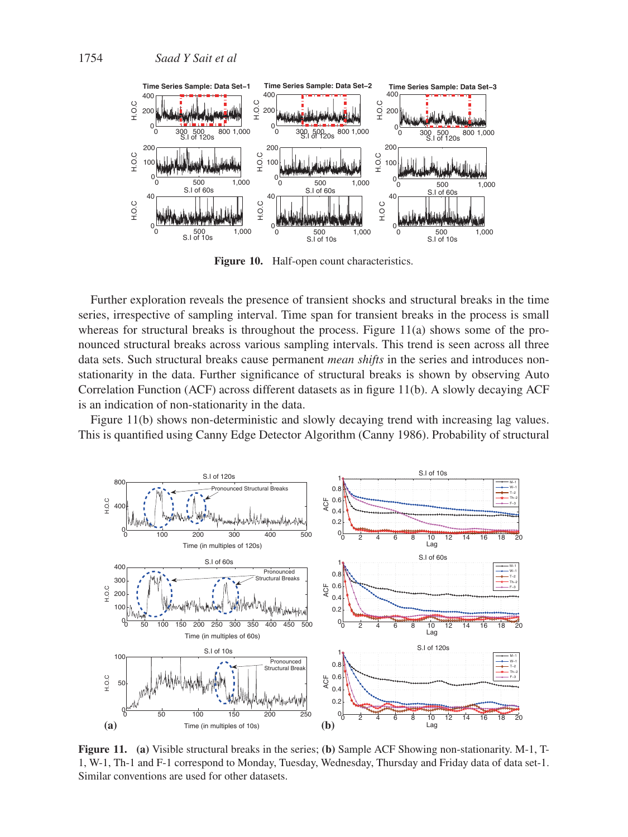

**Figure 10.** Half-open count characteristics.

Further exploration reveals the presence of transient shocks and structural breaks in the time series, irrespective of sampling interval. Time span for transient breaks in the process is small whereas for structural breaks is throughout the process. Figure  $11(a)$  shows some of the pronounced structural breaks across various sampling intervals. This trend is seen across all three data sets. Such structural breaks cause permanent *mean shifts* in the series and introduces nonstationarity in the data. Further significance of structural breaks is shown by observing Auto Correlation Function (ACF) across different datasets as in figure 11(b). A slowly decaying ACF is an indication of non-stationarity in the data.

Figure 11(b) shows non-deterministic and slowly decaying trend with increasing lag values. This is quantified using Canny Edge Detector Algorithm (Canny 1986). Probability of structural



**Figure 11. (a)** Visible structural breaks in the series; **(b)** Sample ACF Showing non-stationarity. M-1, T-1, W-1, Th-1 and F-1 correspond to Monday, Tuesday, Wednesday, Thursday and Friday data of data set-1. Similar conventions are used for other datasets.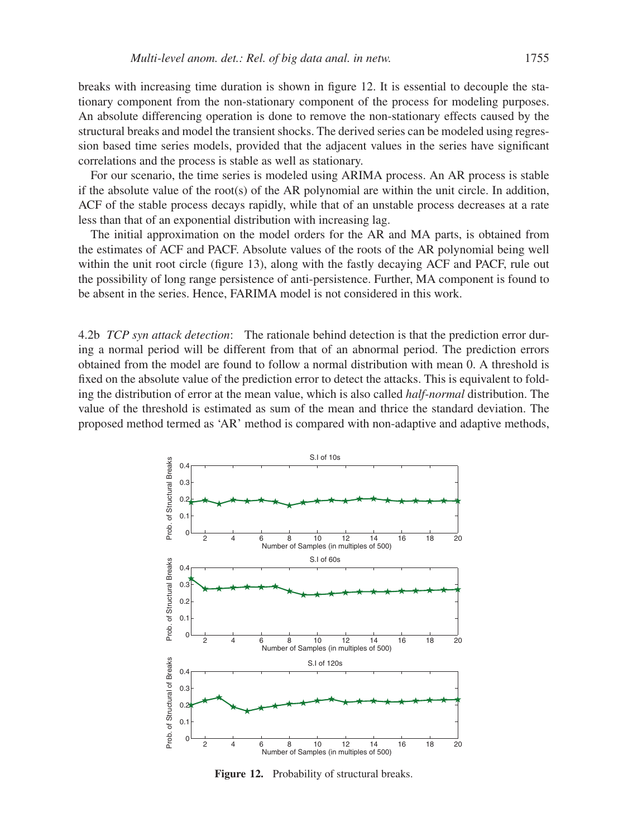breaks with increasing time duration is shown in figure 12. It is essential to decouple the stationary component from the non-stationary component of the process for modeling purposes. An absolute differencing operation is done to remove the non-stationary effects caused by the structural breaks and model the transient shocks. The derived series can be modeled using regression based time series models, provided that the adjacent values in the series have significant correlations and the process is stable as well as stationary.

For our scenario, the time series is modeled using ARIMA process. An AR process is stable if the absolute value of the root(s) of the AR polynomial are within the unit circle. In addition, ACF of the stable process decays rapidly, while that of an unstable process decreases at a rate less than that of an exponential distribution with increasing lag.

The initial approximation on the model orders for the AR and MA parts, is obtained from the estimates of ACF and PACF. Absolute values of the roots of the AR polynomial being well within the unit root circle (figure 13), along with the fastly decaying ACF and PACF, rule out the possibility of long range persistence of anti-persistence. Further, MA component is found to be absent in the series. Hence, FARIMA model is not considered in this work.

4.2b *TCP syn attack detection*: The rationale behind detection is that the prediction error during a normal period will be different from that of an abnormal period. The prediction errors obtained from the model are found to follow a normal distribution with mean 0. A threshold is fixed on the absolute value of the prediction error to detect the attacks. This is equivalent to folding the distribution of error at the mean value, which is also called *half-normal* distribution. The value of the threshold is estimated as sum of the mean and thrice the standard deviation. The proposed method termed as 'AR' method is compared with non-adaptive and adaptive methods,



**Figure 12.** Probability of structural breaks.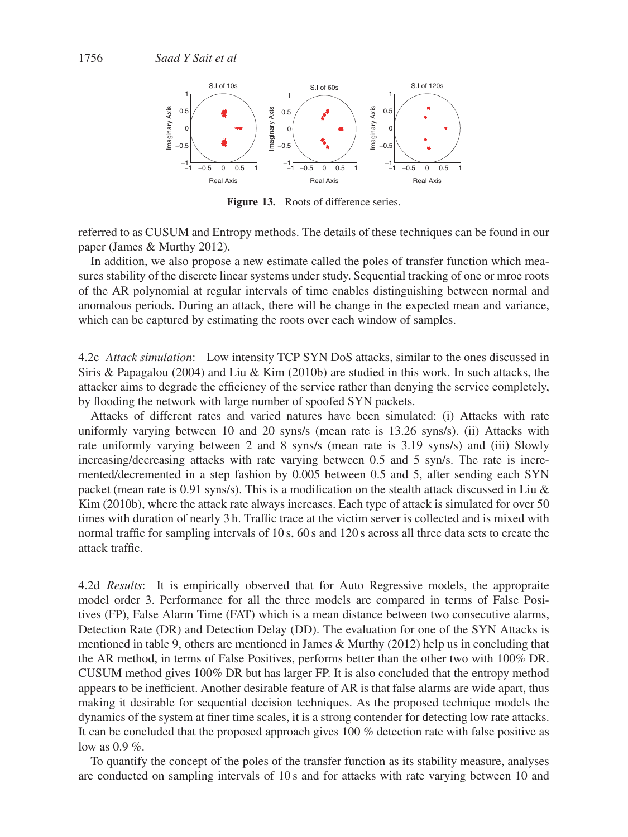

**Figure 13.** Roots of difference series.

referred to as CUSUM and Entropy methods. The details of these techniques can be found in our paper (James & Murthy 2012).

In addition, we also propose a new estimate called the poles of transfer function which measures stability of the discrete linear systems under study. Sequential tracking of one or mroe roots of the AR polynomial at regular intervals of time enables distinguishing between normal and anomalous periods. During an attack, there will be change in the expected mean and variance, which can be captured by estimating the roots over each window of samples.

4.2c *Attack simulation*: Low intensity TCP SYN DoS attacks, similar to the ones discussed in Siris & Papagalou (2004) and Liu & Kim (2010b) are studied in this work. In such attacks, the attacker aims to degrade the efficiency of the service rather than denying the service completely, by flooding the network with large number of spoofed SYN packets.

Attacks of different rates and varied natures have been simulated: (i) Attacks with rate uniformly varying between 10 and 20 syns/s (mean rate is 13.26 syns/s). (ii) Attacks with rate uniformly varying between 2 and 8 syns/s (mean rate is 3.19 syns/s) and (iii) Slowly increasing/decreasing attacks with rate varying between 0.5 and 5 syn/s. The rate is incremented/decremented in a step fashion by 0.005 between 0.5 and 5, after sending each SYN packet (mean rate is 0.91 syns/s). This is a modification on the stealth attack discussed in Liu & Kim (2010b), where the attack rate always increases. Each type of attack is simulated for over 50 times with duration of nearly 3 h. Traffic trace at the victim server is collected and is mixed with normal traffic for sampling intervals of 10 s, 60 s and 120 s across all three data sets to create the attack traffic.

4.2d *Results*: It is empirically observed that for Auto Regressive models, the appropraite model order 3. Performance for all the three models are compared in terms of False Positives (FP), False Alarm Time (FAT) which is a mean distance between two consecutive alarms, Detection Rate (DR) and Detection Delay (DD). The evaluation for one of the SYN Attacks is mentioned in table 9, others are mentioned in James & Murthy (2012) help us in concluding that the AR method, in terms of False Positives, performs better than the other two with 100% DR. CUSUM method gives 100% DR but has larger FP. It is also concluded that the entropy method appears to be inefficient. Another desirable feature of AR is that false alarms are wide apart, thus making it desirable for sequential decision techniques. As the proposed technique models the dynamics of the system at finer time scales, it is a strong contender for detecting low rate attacks. It can be concluded that the proposed approach gives 100 % detection rate with false positive as low as  $0.9\%$ .

To quantify the concept of the poles of the transfer function as its stability measure, analyses are conducted on sampling intervals of 10 s and for attacks with rate varying between 10 and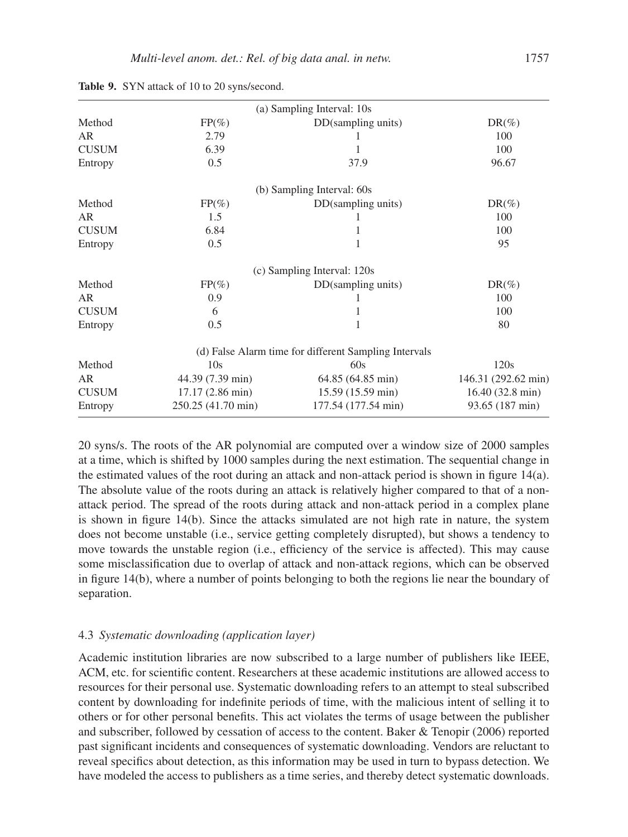|              |                    | (a) Sampling Interval: 10s                            |                           |
|--------------|--------------------|-------------------------------------------------------|---------------------------|
| Method       | $FP(\%)$           | DD(sampling units)                                    | $DR(\%)$                  |
| AR           | 2.79               |                                                       | 100                       |
| <b>CUSUM</b> | 6.39               | 1                                                     | 100                       |
| Entropy      | 0.5                | 37.9                                                  | 96.67                     |
|              |                    | (b) Sampling Interval: 60s                            |                           |
| Method       | $FP(\%)$           | DD(sampling units)                                    | $DR(\%)$                  |
| <b>AR</b>    | 1.5                |                                                       | 100                       |
| <b>CUSUM</b> | 6.84               | 1                                                     | 100                       |
| Entropy      | 0.5                | 1                                                     | 95                        |
|              |                    | (c) Sampling Interval: 120s                           |                           |
| Method       | $FP(\%)$           | DD(sampling units)                                    | $DR(\%)$                  |
| <b>AR</b>    | 0.9                |                                                       | 100                       |
| <b>CUSUM</b> | 6                  | 1                                                     | 100                       |
| Entropy      | 0.5                | 1                                                     | 80                        |
|              |                    | (d) False Alarm time for different Sampling Intervals |                           |
| Method       | 10 <sub>s</sub>    | 60s                                                   | 120s                      |
| <b>AR</b>    | 44.39 (7.39 min)   | 64.85 (64.85 min)                                     | 146.31 (292.62 min)       |
| <b>CUSUM</b> | 17.17 (2.86 min)   | 15.59 (15.59 min)                                     | $16.40(32.8 \text{ min})$ |
| Entropy      | 250.25 (41.70 min) | 177.54 (177.54 min)                                   | 93.65 (187 min)           |
|              |                    |                                                       |                           |

**Table 9.** SYN attack of 10 to 20 syns/second.

20 syns/s. The roots of the AR polynomial are computed over a window size of 2000 samples at a time, which is shifted by 1000 samples during the next estimation. The sequential change in the estimated values of the root during an attack and non-attack period is shown in figure 14(a). The absolute value of the roots during an attack is relatively higher compared to that of a nonattack period. The spread of the roots during attack and non-attack period in a complex plane is shown in figure 14(b). Since the attacks simulated are not high rate in nature, the system does not become unstable (i.e., service getting completely disrupted), but shows a tendency to move towards the unstable region (i.e., efficiency of the service is affected). This may cause some misclassification due to overlap of attack and non-attack regions, which can be observed in figure 14(b), where a number of points belonging to both the regions lie near the boundary of separation.

## 4.3 *Systematic downloading (application layer)*

Academic institution libraries are now subscribed to a large number of publishers like IEEE, ACM, etc. for scientific content. Researchers at these academic institutions are allowed access to resources for their personal use. Systematic downloading refers to an attempt to steal subscribed content by downloading for indefinite periods of time, with the malicious intent of selling it to others or for other personal benefits. This act violates the terms of usage between the publisher and subscriber, followed by cessation of access to the content. Baker & Tenopir (2006) reported past significant incidents and consequences of systematic downloading. Vendors are reluctant to reveal specifics about detection, as this information may be used in turn to bypass detection. We have modeled the access to publishers as a time series, and thereby detect systematic downloads.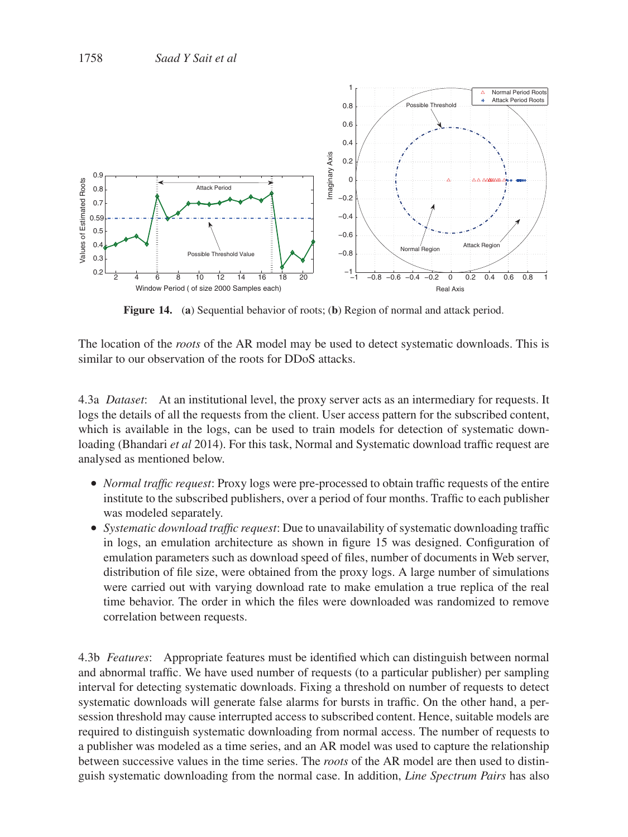

**Figure 14.** (**a**) Sequential behavior of roots; (**b**) Region of normal and attack period.

The location of the *roots* of the AR model may be used to detect systematic downloads. This is similar to our observation of the roots for DDoS attacks.

4.3a *Dataset*: At an institutional level, the proxy server acts as an intermediary for requests. It logs the details of all the requests from the client. User access pattern for the subscribed content, which is available in the logs, can be used to train models for detection of systematic downloading (Bhandari *et al* 2014). For this task, Normal and Systematic download traffic request are analysed as mentioned below.

- *Normal traffic request*: Proxy logs were pre-processed to obtain traffic requests of the entire institute to the subscribed publishers, over a period of four months. Traffic to each publisher was modeled separately.
- *Systematic download traffic request*: Due to unavailability of systematic downloading traffic in logs, an emulation architecture as shown in figure 15 was designed. Configuration of emulation parameters such as download speed of files, number of documents in Web server, distribution of file size, were obtained from the proxy logs. A large number of simulations were carried out with varying download rate to make emulation a true replica of the real time behavior. The order in which the files were downloaded was randomized to remove correlation between requests.

4.3b *Features*: Appropriate features must be identified which can distinguish between normal and abnormal traffic. We have used number of requests (to a particular publisher) per sampling interval for detecting systematic downloads. Fixing a threshold on number of requests to detect systematic downloads will generate false alarms for bursts in traffic. On the other hand, a persession threshold may cause interrupted access to subscribed content. Hence, suitable models are required to distinguish systematic downloading from normal access. The number of requests to a publisher was modeled as a time series, and an AR model was used to capture the relationship between successive values in the time series. The *roots* of the AR model are then used to distinguish systematic downloading from the normal case. In addition, *Line Spectrum Pairs* has also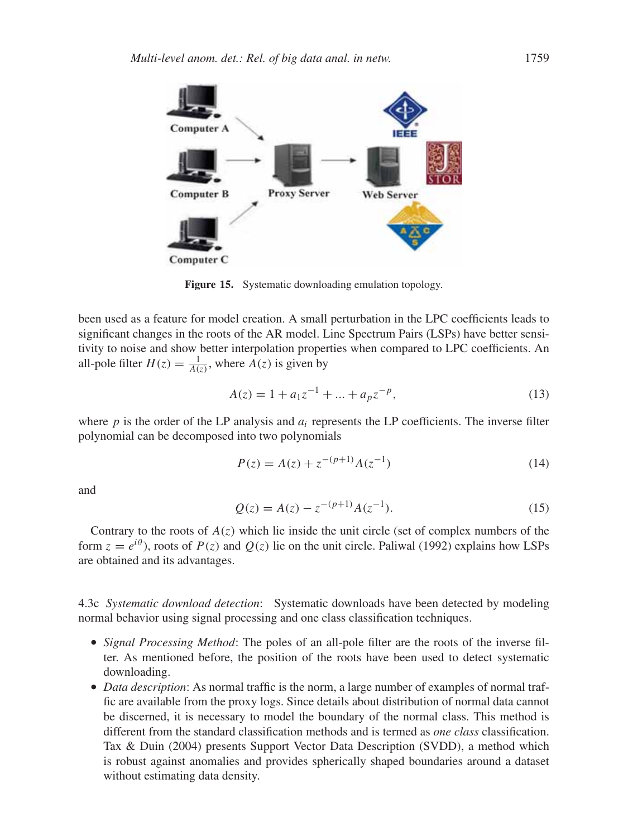

**Figure 15.** Systematic downloading emulation topology.

been used as a feature for model creation. A small perturbation in the LPC coefficients leads to significant changes in the roots of the AR model. Line Spectrum Pairs (LSPs) have better sensitivity to noise and show better interpolation properties when compared to LPC coefficients. An all-pole filter  $H(z) = \frac{1}{A(z)}$ , where  $A(z)$  is given by

$$
A(z) = 1 + a_1 z^{-1} + \dots + a_p z^{-p},
$$
\n(13)

where  $p$  is the order of the LP analysis and  $a_i$  represents the LP coefficients. The inverse filter polynomial can be decomposed into two polynomials

$$
P(z) = A(z) + z^{-(p+1)}A(z^{-1})
$$
\n(14)

and

$$
Q(z) = A(z) - z^{-(p+1)} A(z^{-1}).
$$
\n(15)

Contrary to the roots of  $A(z)$  which lie inside the unit circle (set of complex numbers of the form  $z = e^{i\theta}$ , roots of  $P(z)$  and  $Q(z)$  lie on the unit circle. Paliwal (1992) explains how LSPs are obtained and its advantages.

4.3c *Systematic download detection*: Systematic downloads have been detected by modeling normal behavior using signal processing and one class classification techniques.

- *Signal Processing Method*: The poles of an all-pole filter are the roots of the inverse filter. As mentioned before, the position of the roots have been used to detect systematic downloading.
- *Data description*: As normal traffic is the norm, a large number of examples of normal traffic are available from the proxy logs. Since details about distribution of normal data cannot be discerned, it is necessary to model the boundary of the normal class. This method is different from the standard classification methods and is termed as *one class* classification. Tax & Duin (2004) presents Support Vector Data Description (SVDD), a method which is robust against anomalies and provides spherically shaped boundaries around a dataset without estimating data density.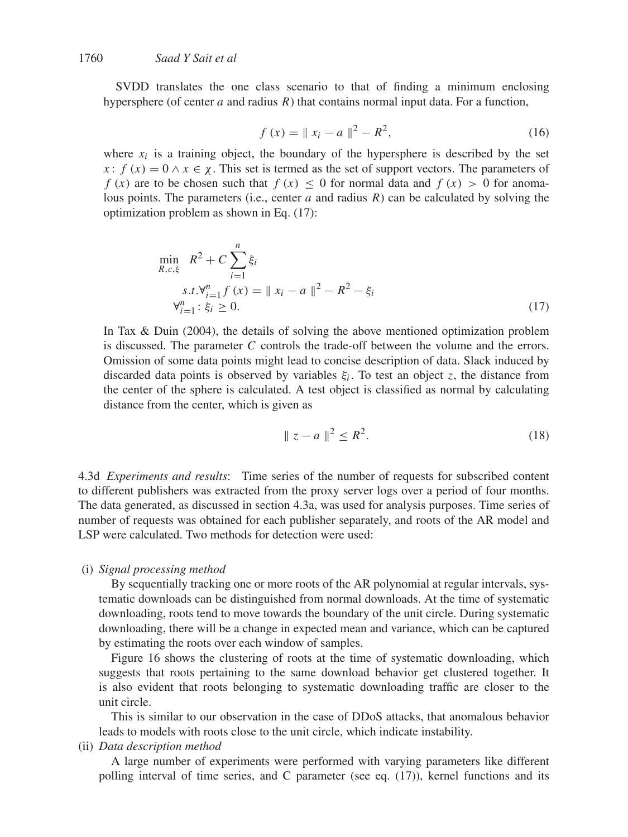SVDD translates the one class scenario to that of finding a minimum enclosing hypersphere (of center  $a$  and radius  $R$ ) that contains normal input data. For a function,

$$
f(x) = ||x_i - a||^2 - R^2,
$$
\n(16)

where  $x_i$  is a training object, the boundary of the hypersphere is described by the set x:  $f(x) = 0 \wedge x \in \chi$ . This set is termed as the set of support vectors. The parameters of f (x) are to be chosen such that  $f(x) \le 0$  for normal data and  $f(x) > 0$  for anomalous points. The parameters (i.e., center a and radius  $R$ ) can be calculated by solving the optimization problem as shown in Eq. (17):

$$
\min_{R,c,\xi} R^2 + C \sum_{i=1}^n \xi_i
$$
\n
$$
s.t. \forall_{i=1}^n f(x) = ||x_i - a||^2 - R^2 - \xi_i
$$
\n
$$
\forall_{i=1}^n : \xi_i \ge 0.
$$
\n(17)

In Tax & Duin (2004), the details of solving the above mentioned optimization problem is discussed. The parameter C controls the trade-off between the volume and the errors. Omission of some data points might lead to concise description of data. Slack induced by discarded data points is observed by variables  $\xi_i$ . To test an object z, the distance from the center of the sphere is calculated. A test object is classified as normal by calculating distance from the center, which is given as

$$
\|z - a\|^2 \le R^2. \tag{18}
$$

4.3d *Experiments and results*: Time series of the number of requests for subscribed content to different publishers was extracted from the proxy server logs over a period of four months. The data generated, as discussed in section 4.3a, was used for analysis purposes. Time series of number of requests was obtained for each publisher separately, and roots of the AR model and LSP were calculated. Two methods for detection were used:

## (i) *Signal processing method*

By sequentially tracking one or more roots of the AR polynomial at regular intervals, systematic downloads can be distinguished from normal downloads. At the time of systematic downloading, roots tend to move towards the boundary of the unit circle. During systematic downloading, there will be a change in expected mean and variance, which can be captured by estimating the roots over each window of samples.

Figure 16 shows the clustering of roots at the time of systematic downloading, which suggests that roots pertaining to the same download behavior get clustered together. It is also evident that roots belonging to systematic downloading traffic are closer to the unit circle.

This is similar to our observation in the case of DDoS attacks, that anomalous behavior leads to models with roots close to the unit circle, which indicate instability.

## (ii) *Data description method*

A large number of experiments were performed with varying parameters like different polling interval of time series, and C parameter (see eq. (17)), kernel functions and its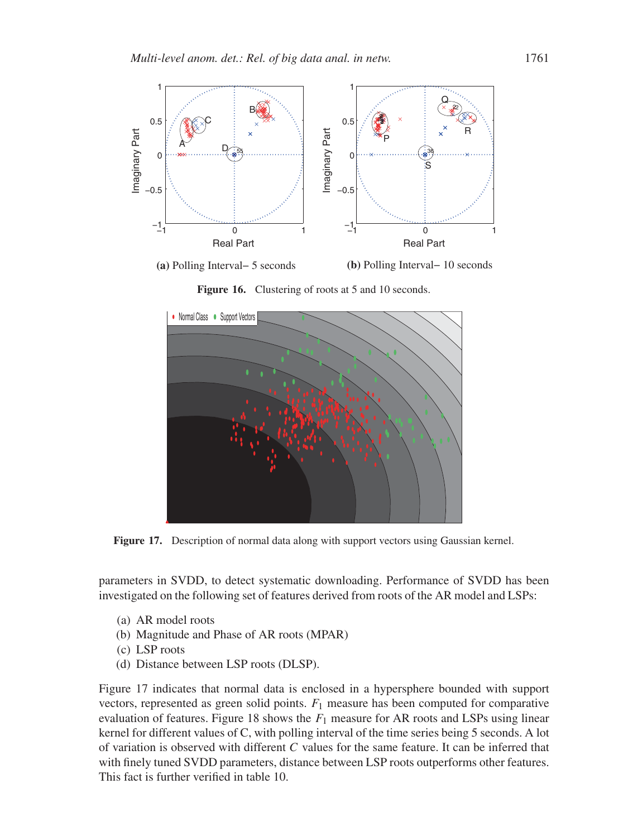

**(a)** Polling Interval− 5 seconds

**(b)** Polling Interval− 10 seconds

Figure 16. Clustering of roots at 5 and 10 seconds.



**Figure 17.** Description of normal data along with support vectors using Gaussian kernel.

parameters in SVDD, to detect systematic downloading. Performance of SVDD has been investigated on the following set of features derived from roots of the AR model and LSPs:

- (a) AR model roots
- (b) Magnitude and Phase of AR roots (MPAR)
- (c) LSP roots
- (d) Distance between LSP roots (DLSP).

Figure 17 indicates that normal data is enclosed in a hypersphere bounded with support vectors, represented as green solid points.  $F_1$  measure has been computed for comparative evaluation of features. Figure 18 shows the  $F_1$  measure for AR roots and LSPs using linear kernel for different values of C, with polling interval of the time series being 5 seconds. A lot of variation is observed with different C values for the same feature. It can be inferred that with finely tuned SVDD parameters, distance between LSP roots outperforms other features. This fact is further verified in table 10.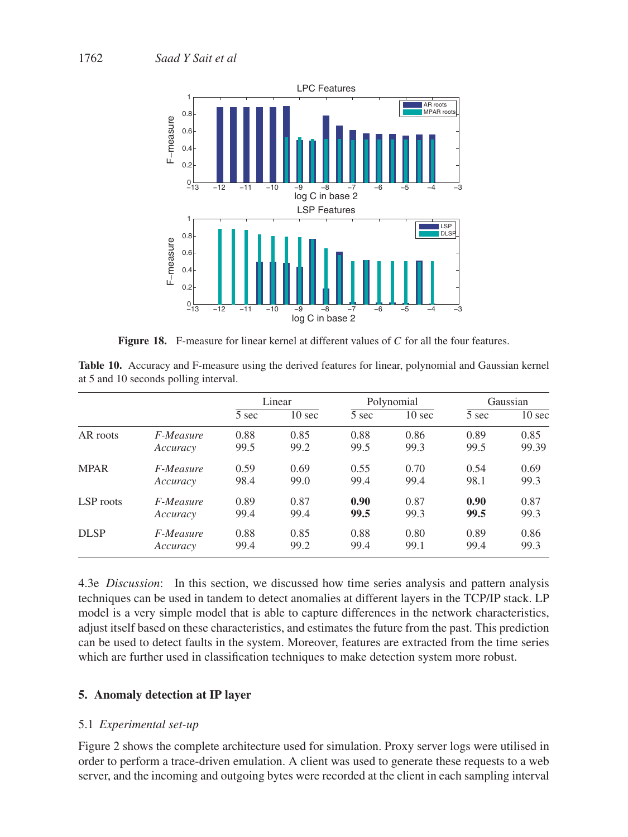

Figure 18. F-measure for linear kernel at different values of C for all the four features.

**Table 10.** Accuracy and F-measure using the derived features for linear, polynomial and Gaussian kernel at 5 and 10 seconds polling interval.

|             |                  |       | Linear<br>Polynomial |       |                  | Gaussian |                  |
|-------------|------------------|-------|----------------------|-------|------------------|----------|------------------|
|             |                  | 5 sec | $10 \text{ sec}$     | 5 sec | $10 \text{ sec}$ | 5 sec    | $10 \text{ sec}$ |
| AR roots    | F-Measure        | 0.88  | 0.85                 | 0.88  | 0.86             | 0.89     | 0.85             |
|             | Accuracy         | 99.5  | 99.2                 | 99.5  | 99.3             | 99.5     | 99.39            |
| <b>MPAR</b> | <i>F-Measure</i> | 0.59  | 0.69                 | 0.55  | 0.70             | 0.54     | 0.69             |
|             | Accuracy         | 98.4  | 99.0                 | 99.4  | 99.4             | 98.1     | 99.3             |
| LSP roots   | <i>F-Measure</i> | 0.89  | 0.87                 | 0.90  | 0.87             | 0.90     | 0.87             |
|             | Accuracy         | 99.4  | 99.4                 | 99.5  | 99.3             | 99.5     | 99.3             |
| <b>DLSP</b> | <i>F-Measure</i> | 0.88  | 0.85                 | 0.88  | 0.80             | 0.89     | 0.86             |
|             | Accuracy         | 99.4  | 99.2                 | 99.4  | 99.1             | 99.4     | 99.3             |

4.3e *Discussion*: In this section, we discussed how time series analysis and pattern analysis techniques can be used in tandem to detect anomalies at different layers in the TCP/IP stack. LP model is a very simple model that is able to capture differences in the network characteristics, adjust itself based on these characteristics, and estimates the future from the past. This prediction can be used to detect faults in the system. Moreover, features are extracted from the time series which are further used in classification techniques to make detection system more robust.

## **5. Anomaly detection at IP layer**

## 5.1 *Experimental set-up*

Figure 2 shows the complete architecture used for simulation. Proxy server logs were utilised in order to perform a trace-driven emulation. A client was used to generate these requests to a web server, and the incoming and outgoing bytes were recorded at the client in each sampling interval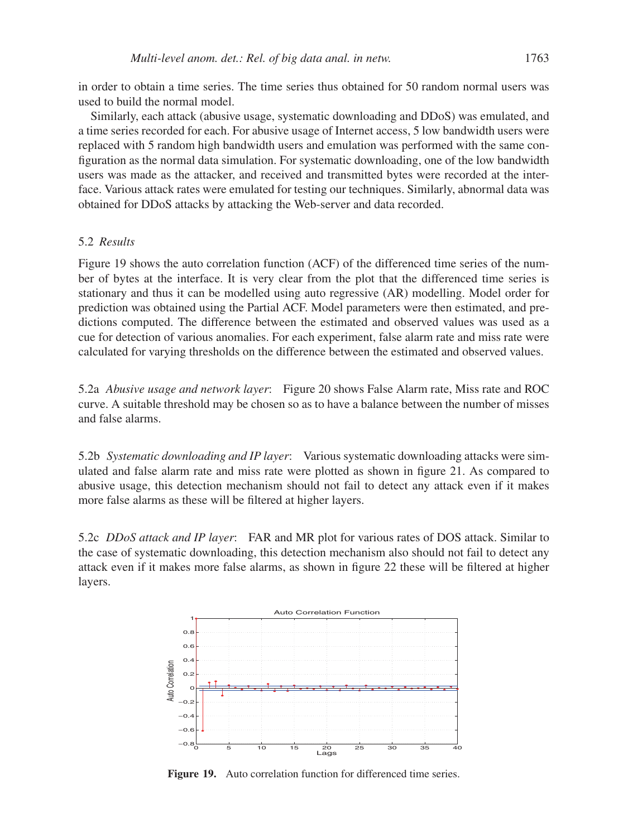in order to obtain a time series. The time series thus obtained for 50 random normal users was used to build the normal model.

Similarly, each attack (abusive usage, systematic downloading and DDoS) was emulated, and a time series recorded for each. For abusive usage of Internet access, 5 low bandwidth users were replaced with 5 random high bandwidth users and emulation was performed with the same configuration as the normal data simulation. For systematic downloading, one of the low bandwidth users was made as the attacker, and received and transmitted bytes were recorded at the interface. Various attack rates were emulated for testing our techniques. Similarly, abnormal data was obtained for DDoS attacks by attacking the Web-server and data recorded.

## 5.2 *Results*

Figure 19 shows the auto correlation function (ACF) of the differenced time series of the number of bytes at the interface. It is very clear from the plot that the differenced time series is stationary and thus it can be modelled using auto regressive (AR) modelling. Model order for prediction was obtained using the Partial ACF. Model parameters were then estimated, and predictions computed. The difference between the estimated and observed values was used as a cue for detection of various anomalies. For each experiment, false alarm rate and miss rate were calculated for varying thresholds on the difference between the estimated and observed values.

5.2a *Abusive usage and network layer*: Figure 20 shows False Alarm rate, Miss rate and ROC curve. A suitable threshold may be chosen so as to have a balance between the number of misses and false alarms.

5.2b *Systematic downloading and IP layer*: Various systematic downloading attacks were simulated and false alarm rate and miss rate were plotted as shown in figure 21. As compared to abusive usage, this detection mechanism should not fail to detect any attack even if it makes more false alarms as these will be filtered at higher layers.

5.2c *DDoS attack and IP layer*: FAR and MR plot for various rates of DOS attack. Similar to the case of systematic downloading, this detection mechanism also should not fail to detect any attack even if it makes more false alarms, as shown in figure 22 these will be filtered at higher layers.



**Figure 19.** Auto correlation function for differenced time series.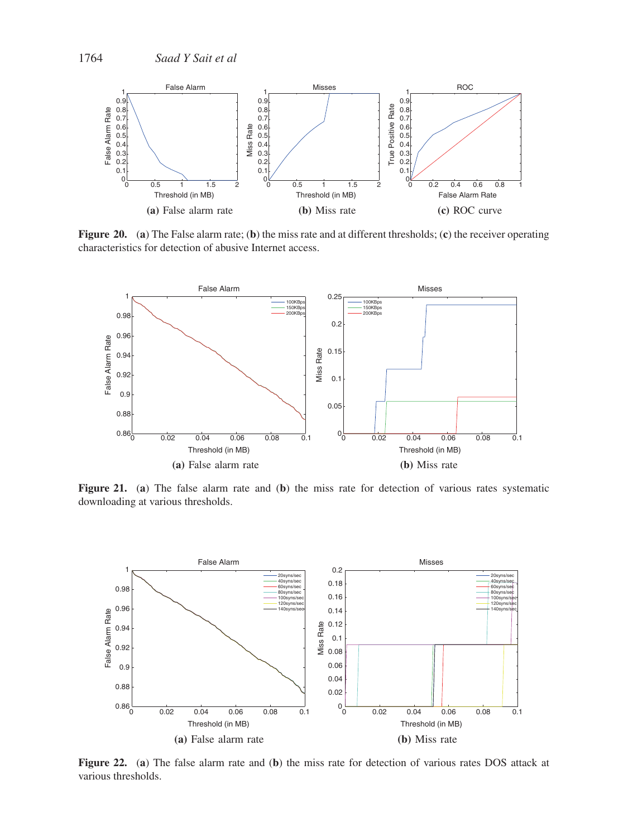

**Figure 20.** (**a**) The False alarm rate; (**b**) the miss rate and at different thresholds; (**c**) the receiver operating characteristics for detection of abusive Internet access.



**Figure 21.** (**a**) The false alarm rate and (**b**) the miss rate for detection of various rates systematic downloading at various thresholds.



**Figure 22.** (**a**) The false alarm rate and (**b**) the miss rate for detection of various rates DOS attack at various thresholds.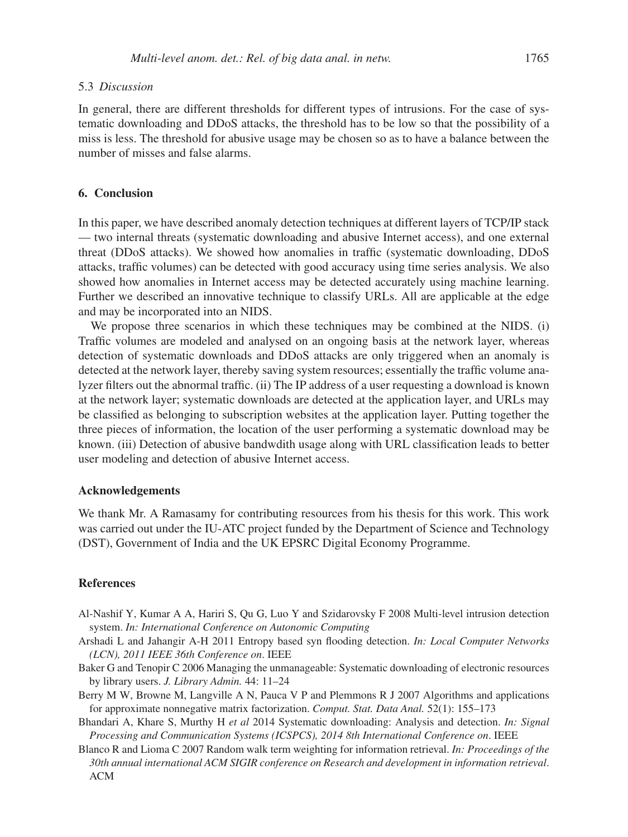#### 5.3 *Discussion*

In general, there are different thresholds for different types of intrusions. For the case of systematic downloading and DDoS attacks, the threshold has to be low so that the possibility of a miss is less. The threshold for abusive usage may be chosen so as to have a balance between the number of misses and false alarms.

## **6. Conclusion**

In this paper, we have described anomaly detection techniques at different layers of TCP/IP stack — two internal threats (systematic downloading and abusive Internet access), and one external threat (DDoS attacks). We showed how anomalies in traffic (systematic downloading, DDoS attacks, traffic volumes) can be detected with good accuracy using time series analysis. We also showed how anomalies in Internet access may be detected accurately using machine learning. Further we described an innovative technique to classify URLs. All are applicable at the edge and may be incorporated into an NIDS.

We propose three scenarios in which these techniques may be combined at the NIDS. (i) Traffic volumes are modeled and analysed on an ongoing basis at the network layer, whereas detection of systematic downloads and DDoS attacks are only triggered when an anomaly is detected at the network layer, thereby saving system resources; essentially the traffic volume analyzer filters out the abnormal traffic. (ii) The IP address of a user requesting a download is known at the network layer; systematic downloads are detected at the application layer, and URLs may be classified as belonging to subscription websites at the application layer. Putting together the three pieces of information, the location of the user performing a systematic download may be known. (iii) Detection of abusive bandwdith usage along with URL classification leads to better user modeling and detection of abusive Internet access.

#### **Acknowledgements**

We thank Mr. A Ramasamy for contributing resources from his thesis for this work. This work was carried out under the IU-ATC project funded by the Department of Science and Technology (DST), Government of India and the UK EPSRC Digital Economy Programme.

#### **References**

- Al-Nashif Y, Kumar A A, Hariri S, Qu G, Luo Y and Szidarovsky F 2008 Multi-level intrusion detection system. *In: International Conference on Autonomic Computing*
- Arshadi L and Jahangir A-H 2011 Entropy based syn flooding detection. *In: Local Computer Networks (LCN), 2011 IEEE 36th Conference on*. IEEE
- Baker G and Tenopir C 2006 Managing the unmanageable: Systematic downloading of electronic resources by library users. *J. Library Admin.* 44: 11–24
- Berry M W, Browne M, Langville A N, Pauca V P and Plemmons R J 2007 Algorithms and applications for approximate nonnegative matrix factorization. *Comput. Stat. Data Anal.* 52(1): 155–173
- Bhandari A, Khare S, Murthy H *et al* 2014 Systematic downloading: Analysis and detection. *In: Signal Processing and Communication Systems (ICSPCS), 2014 8th International Conference on*. IEEE
- Blanco R and Lioma C 2007 Random walk term weighting for information retrieval. *In: Proceedings of the 30th annual international ACM SIGIR conference on Research and development in information retrieval*. ACM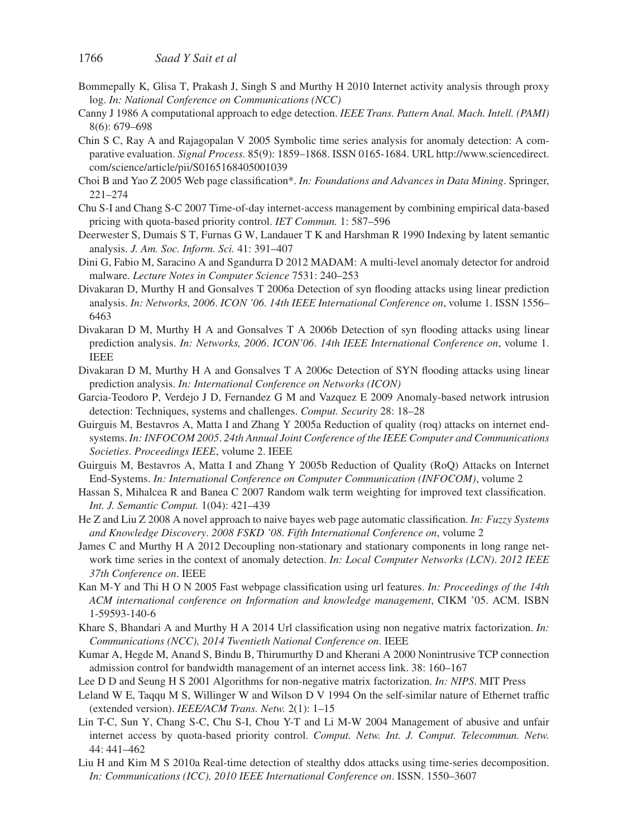- Bommepally K, Glisa T, Prakash J, Singh S and Murthy H 2010 Internet activity analysis through proxy log. *In: National Conference on Communications (NCC)*
- Canny J 1986 A computational approach to edge detection. *IEEE Trans. Pattern Anal. Mach. Intell. (PAMI)* 8(6): 679–698
- Chin S C, Ray A and Rajagopalan V 2005 Symbolic time series analysis for anomaly detection: A comparative evaluation. *Signal Process.* 85(9): 1859–1868. ISSN 0165-1684. URL http://www.sciencedirect. com/science/article/pii/S0165168405001039
- Choi B and Yao Z 2005 Web page classification\*. *In: Foundations and Advances in Data Mining*. Springer, 221–274
- Chu S-I and Chang S-C 2007 Time-of-day internet-access management by combining empirical data-based pricing with quota-based priority control. *IET Commun.* 1: 587–596
- Deerwester S, Dumais S T, Furnas G W, Landauer T K and Harshman R 1990 Indexing by latent semantic analysis. *J. Am. Soc. Inform. Sci.* 41: 391–407
- Dini G, Fabio M, Saracino A and Sgandurra D 2012 MADAM: A multi-level anomaly detector for android malware. *Lecture Notes in Computer Science* 7531: 240–253
- Divakaran D, Murthy H and Gonsalves T 2006a Detection of syn flooding attacks using linear prediction analysis. *In: Networks, 2006*. *ICON '06*. *14th IEEE International Conference on*, volume 1. ISSN 1556– 6463
- Divakaran D M, Murthy H A and Gonsalves T A 2006b Detection of syn flooding attacks using linear prediction analysis. *In: Networks, 2006*. *ICON'06*. *14th IEEE International Conference on*, volume 1. IEEE
- Divakaran D M, Murthy H A and Gonsalves T A 2006c Detection of SYN flooding attacks using linear prediction analysis. *In: International Conference on Networks (ICON)*
- Garcia-Teodoro P, Verdejo J D, Fernandez G M and Vazquez E 2009 Anomaly-based network intrusion detection: Techniques, systems and challenges. *Comput. Security* 28: 18–28
- Guirguis M, Bestavros A, Matta I and Zhang Y 2005a Reduction of quality (roq) attacks on internet endsystems. *In: INFOCOM 2005*. *24th Annual Joint Conference of the IEEE Computer and Communications Societies*. *Proceedings IEEE*, volume 2. IEEE
- Guirguis M, Bestavros A, Matta I and Zhang Y 2005b Reduction of Quality (RoQ) Attacks on Internet End-Systems. *In: International Conference on Computer Communication (INFOCOM)*, volume 2
- Hassan S, Mihalcea R and Banea C 2007 Random walk term weighting for improved text classification. *Int. J. Semantic Comput.* 1(04): 421–439
- He Z and Liu Z 2008 A novel approach to naive bayes web page automatic classification. *In: Fuzzy Systems and Knowledge Discovery*. *2008 FSKD '08*. *Fifth International Conference on*, volume 2
- James C and Murthy H A 2012 Decoupling non-stationary and stationary components in long range network time series in the context of anomaly detection. *In: Local Computer Networks (LCN)*. *2012 IEEE 37th Conference on*. IEEE
- Kan M-Y and Thi H O N 2005 Fast webpage classification using url features. *In: Proceedings of the 14th ACM international conference on Information and knowledge management*, CIKM '05. ACM. ISBN 1-59593-140-6
- Khare S, Bhandari A and Murthy H A 2014 Url classification using non negative matrix factorization. *In: Communications (NCC), 2014 Twentieth National Conference on*. IEEE
- Kumar A, Hegde M, Anand S, Bindu B, Thirumurthy D and Kherani A 2000 Nonintrusive TCP connection admission control for bandwidth management of an internet access link. 38: 160–167
- Lee D D and Seung H S 2001 Algorithms for non-negative matrix factorization. *In: NIPS*. MIT Press
- Leland W E, Taqqu M S, Willinger W and Wilson D V 1994 On the self-similar nature of Ethernet traffic (extended version). *IEEE/ACM Trans. Netw.* 2(1): 1–15
- Lin T-C, Sun Y, Chang S-C, Chu S-I, Chou Y-T and Li M-W 2004 Management of abusive and unfair internet access by quota-based priority control. *Comput. Netw. Int. J. Comput. Telecommun. Netw.* 44: 441–462
- Liu H and Kim M S 2010a Real-time detection of stealthy ddos attacks using time-series decomposition. *In: Communications (ICC), 2010 IEEE International Conference on*. ISSN. 1550–3607